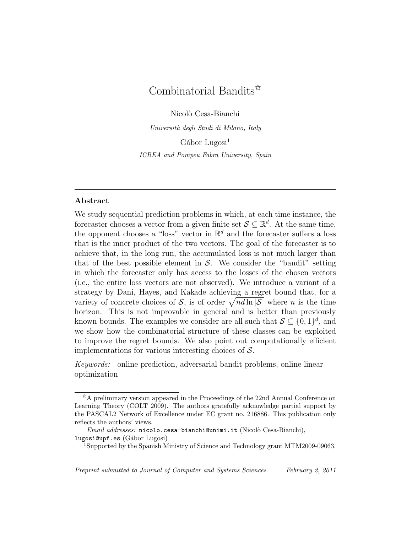# Combinatorial Bandits $\mathbb{R}$

Nicolò Cesa-Bianchi

Università degli Studi di Milano, Italy

 $Gábor Lugosi<sup>1</sup>$ ICREA and Pompeu Fabra University, Spain

# Abstract

We study sequential prediction problems in which, at each time instance, the forecaster chooses a vector from a given finite set  $\mathcal{S} \subseteq \mathbb{R}^d$ . At the same time, the opponent chooses a "loss" vector in  $\mathbb{R}^d$  and the forecaster suffers a loss that is the inner product of the two vectors. The goal of the forecaster is to achieve that, in the long run, the accumulated loss is not much larger than that of the best possible element in  $S$ . We consider the "bandit" setting in which the forecaster only has access to the losses of the chosen vectors (i.e., the entire loss vectors are not observed). We introduce a variant of a strategy by Dani, Hayes, and Kakade achieving a regret bound that, for a variety of concrete choices of S, is of order  $\sqrt{nd \ln |\mathcal{S}|}$  where n is the time horizon. This is not improvable in general and is better than previously known bounds. The examples we consider are all such that  $S \subseteq \{0,1\}^d$ , and we show how the combinatorial structure of these classes can be exploited to improve the regret bounds. We also point out computationally efficient implementations for various interesting choices of  $S$ .

Keywords: online prediction, adversarial bandit problems, online linear optimization

 $\hat{A}$  preliminary version appeared in the Proceedings of the 22nd Annual Conference on Learning Theory (COLT 2009). The authors gratefully acknowledge partial support by the PASCAL2 Network of Excellence under EC grant no. 216886. This publication only reflects the authors' views.

 $Email \ addresses: \text{nicolo.cesa-bianchi@unimi.it (Nicolò Cesa-Bianchi),$ lugosi@upf.es (Gábor Lugosi)

<sup>1</sup>Supported by the Spanish Ministry of Science and Technology grant MTM2009-09063.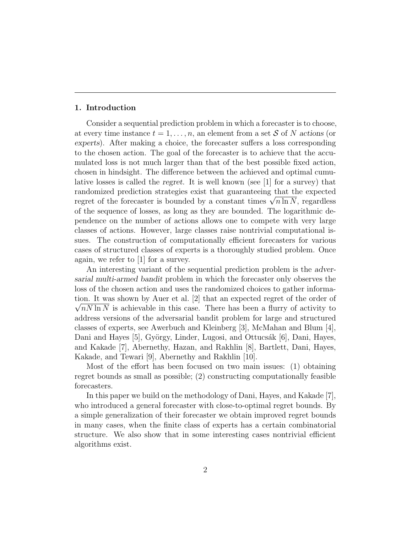## 1. Introduction

Consider a sequential prediction problem in which a forecaster is to choose, at every time instance  $t = 1, \ldots, n$ , an element from a set S of N actions (or experts). After making a choice, the forecaster suffers a loss corresponding to the chosen action. The goal of the forecaster is to achieve that the accumulated loss is not much larger than that of the best possible fixed action, chosen in hindsight. The difference between the achieved and optimal cumulative losses is called the regret. It is well known (see [1] for a survey) that randomized prediction strategies exist that guaranteeing that the expected randomized prediction strategies exist that guaranteeing that the expected<br>regret of the forecaster is bounded by a constant times  $\sqrt{n \ln N}$ , regardless of the sequence of losses, as long as they are bounded. The logarithmic dependence on the number of actions allows one to compete with very large classes of actions. However, large classes raise nontrivial computational issues. The construction of computationally efficient forecasters for various cases of structured classes of experts is a thoroughly studied problem. Once again, we refer to [1] for a survey.

An interesting variant of the sequential prediction problem is the adversarial multi-armed bandit problem in which the forecaster only observes the loss of the chosen action and uses the randomized choices to gather information. It was shown by Auer et al. [2] that an expected regret of the order of  $\sqrt{n}N\ln N$  is achievable in this case. There has been a flurry of activity to address versions of the adversarial bandit problem for large and structured classes of experts, see Awerbuch and Kleinberg [3], McMahan and Blum [4], Dani and Hayes [5], György, Linder, Lugosi, and Ottucsák [6], Dani, Hayes, and Kakade [7], Abernethy, Hazan, and Rakhlin [8], Bartlett, Dani, Hayes, Kakade, and Tewari [9], Abernethy and Rakhlin [10].

Most of the effort has been focused on two main issues: (1) obtaining regret bounds as small as possible; (2) constructing computationally feasible forecasters.

In this paper we build on the methodology of Dani, Hayes, and Kakade [7], who introduced a general forecaster with close-to-optimal regret bounds. By a simple generalization of their forecaster we obtain improved regret bounds in many cases, when the finite class of experts has a certain combinatorial structure. We also show that in some interesting cases nontrivial efficient algorithms exist.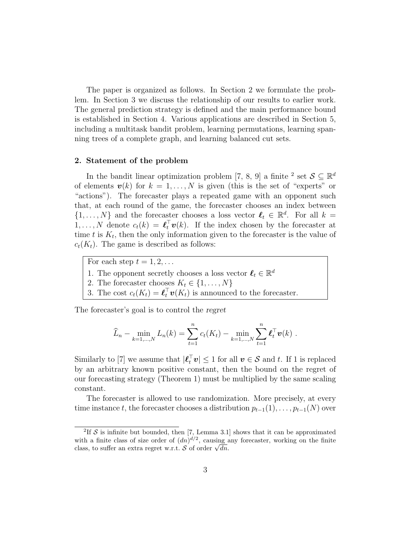The paper is organized as follows. In Section 2 we formulate the problem. In Section 3 we discuss the relationship of our results to earlier work. The general prediction strategy is defined and the main performance bound is established in Section 4. Various applications are described in Section 5, including a multitask bandit problem, learning permutations, learning spanning trees of a complete graph, and learning balanced cut sets.

## 2. Statement of the problem

In the bandit linear optimization problem [7, 8, 9] a finite <sup>2</sup> set  $\mathcal{S} \subseteq \mathbb{R}^d$ of elements  $v(k)$  for  $k = 1, ..., N$  is given (this is the set of "experts" or "actions"). The forecaster plays a repeated game with an opponent such that, at each round of the game, the forecaster chooses an index between  $\{1, \ldots, N\}$  and the forecaster chooses a loss vector  $\ell_t \in \mathbb{R}^d$ . For all  $k =$  $1, \ldots, N$  denote  $c_t(k) = \ell_t^{\top} \mathbf{v}(k)$ . If the index chosen by the forecaster at time  $t$  is  $K_t$ , then the only information given to the forecaster is the value of  $c_t(K_t)$ . The game is described as follows:

For each step  $t = 1, 2, \ldots$ 

- 1. The opponent secretly chooses a loss vector  $\ell_t \in \mathbb{R}^d$
- 2. The forecaster chooses  $K_t \in \{1, \ldots, N\}$
- 3. The cost  $c_t(K_t) = \ell_t^{\top} \boldsymbol{v}(K_t)$  is announced to the forecaster.

The forecaster's goal is to control the regret

$$
\widehat{L}_n - \min_{k=1,\dots,N} L_n(k) = \sum_{t=1}^n c_t(K_t) - \min_{k=1,\dots,N} \sum_{t=1}^n \ell_t^{\top} \mathbf{v}(k) .
$$

Similarly to [7] we assume that  $|\ell_t^{\top} v| \leq 1$  for all  $v \in \mathcal{S}$  and t. If 1 is replaced by an arbitrary known positive constant, then the bound on the regret of our forecasting strategy (Theorem 1) must be multiplied by the same scaling constant.

The forecaster is allowed to use randomization. More precisely, at every time instance t, the forecaster chooses a distribution  $p_{t-1}(1), \ldots, p_{t-1}(N)$  over

<sup>&</sup>lt;sup>2</sup>If S is infinite but bounded, then [7, Lemma 3.1] shows that it can be approximated with a finite class of size order of  $(dn)^{d/2}$ , causing any forecaster, working on the finite with a finite class of size order of  $(an)^{2/2}$ , causing a class, to suffer an extra regret w.r.t. S of order  $\sqrt{dn}$ .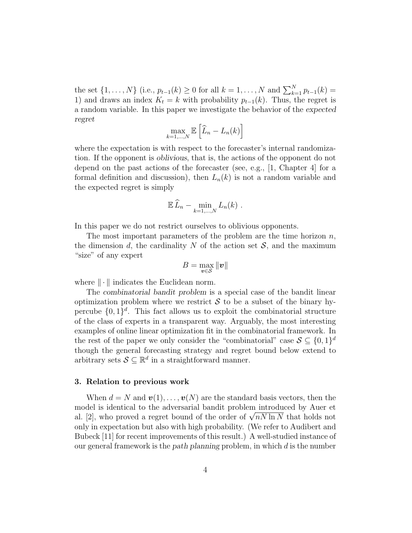the set  $\{1, ..., N\}$  (i.e.,  $p_{t-1}(k) \ge 0$  for all  $k = 1, ..., N$  and  $\sum_{k=1}^{N} p_{t-1}(k) =$ 1) and draws an index  $K_t = k$  with probability  $p_{t-1}(k)$ . Thus, the regret is a random variable. In this paper we investigate the behavior of the expected regret

$$
\max_{k=1,\dots,N} \mathbb{E}\left[\widehat{L}_n - L_n(k)\right]
$$

where the expectation is with respect to the forecaster's internal randomization. If the opponent is oblivious, that is, the actions of the opponent do not depend on the past actions of the forecaster (see, e.g., [1, Chapter 4] for a formal definition and discussion), then  $L_n(k)$  is not a random variable and the expected regret is simply

$$
\mathbb{E}\,\widehat{L}_n - \min_{k=1,\dots,N} L_n(k) \ .
$$

In this paper we do not restrict ourselves to oblivious opponents.

The most important parameters of the problem are the time horizon  $n$ , the dimension d, the cardinality N of the action set  $S$ , and the maximum "size" of any expert

$$
B = \max_{\bm{v} \in \mathcal{S}} \|\bm{v}\|
$$

where  $\|\cdot\|$  indicates the Euclidean norm.

The combinatorial bandit problem is a special case of the bandit linear optimization problem where we restrict  $\mathcal S$  to be a subset of the binary hypercube  $\{0,1\}^d$ . This fact allows us to exploit the combinatorial structure of the class of experts in a transparent way. Arguably, the most interesting examples of online linear optimization fit in the combinatorial framework. In the rest of the paper we only consider the "combinatorial" case  $S \subseteq \{0,1\}^d$ though the general forecasting strategy and regret bound below extend to arbitrary sets  $\mathcal{S} \subseteq \mathbb{R}^d$  in a straightforward manner.

## 3. Relation to previous work

When  $d = N$  and  $\mathbf{v}(1), \ldots, \mathbf{v}(N)$  are the standard basis vectors, then the model is identical to the adversarial bandit problem introduced by Auer et model is identical to the adversarial bandit problem introduced by Auer et<br>al. [2], who proved a regret bound of the order of  $\sqrt{nN \ln N}$  that holds not only in expectation but also with high probability. (We refer to Audibert and Bubeck [11] for recent improvements of this result.) A well-studied instance of our general framework is the path planning problem, in which  $d$  is the number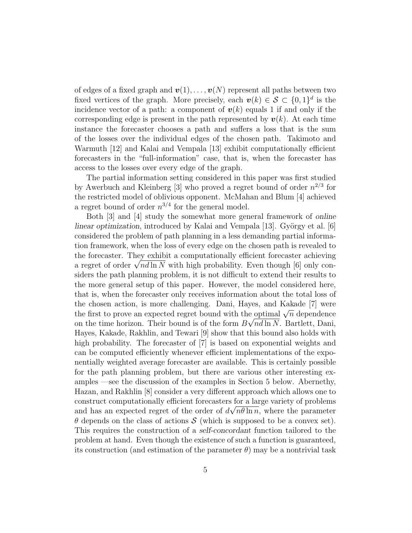of edges of a fixed graph and  $\mathbf{v}(1), \ldots, \mathbf{v}(N)$  represent all paths between two fixed vertices of the graph. More precisely, each  $\mathbf{v}(k) \in \mathcal{S} \subset \{0,1\}^d$  is the incidence vector of a path: a component of  $v(k)$  equals 1 if and only if the corresponding edge is present in the path represented by  $v(k)$ . At each time instance the forecaster chooses a path and suffers a loss that is the sum of the losses over the individual edges of the chosen path. Takimoto and Warmuth [12] and Kalai and Vempala [13] exhibit computationally efficient forecasters in the "full-information" case, that is, when the forecaster has access to the losses over every edge of the graph.

The partial information setting considered in this paper was first studied by Awerbuch and Kleinberg [3] who proved a regret bound of order  $n^{2/3}$  for the restricted model of oblivious opponent. McMahan and Blum [4] achieved a regret bound of order  $n^{3/4}$  for the general model.

Both [3] and [4] study the somewhat more general framework of online linear optimization, introduced by Kalai and Vempala  $[13]$ . György et al.  $[6]$ considered the problem of path planning in a less demanding partial information framework, when the loss of every edge on the chosen path is revealed to the forecaster. They exhibit a computationally efficient forecaster achieving the forecaster. They exhibit a computationally efficient forecaster achieving<br>a regret of order  $\sqrt{nd \ln N}$  with high probability. Even though [6] only considers the path planning problem, it is not difficult to extend their results to the more general setup of this paper. However, the model considered here, that is, when the forecaster only receives information about the total loss of the chosen action, is more challenging. Dani, Hayes, and Kakade [7] were the first to prove an expected regret bound with the optimal  $\sqrt{n}$  dependence on the time horizon. Their bound is of the form  $B\sqrt{nd} \ln N$ . Bartlett, Dani, Hayes, Kakade, Rakhlin, and Tewari [9] show that this bound also holds with high probability. The forecaster of [7] is based on exponential weights and can be computed efficiently whenever efficient implementations of the exponentially weighted average forecaster are available. This is certainly possible for the path planning problem, but there are various other interesting examples —see the discussion of the examples in Section 5 below. Abernethy, Hazan, and Rakhlin [8] consider a very different approach which allows one to construct computationally efficient forecasters for a large variety of problems √ and has an expected regret of the order of  $d\sqrt{n\theta \ln n}$ , where the parameter  $\theta$  depends on the class of actions S (which is supposed to be a convex set). This requires the construction of a self-concordant function tailored to the problem at hand. Even though the existence of such a function is guaranteed, its construction (and estimation of the parameter  $\theta$ ) may be a nontrivial task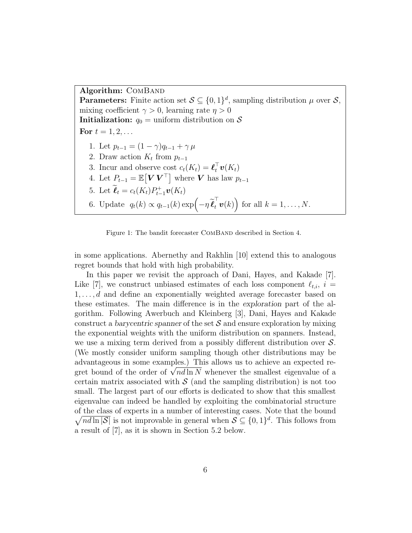Algorithm: COMBAND **Parameters:** Finite action set  $S \subseteq \{0,1\}^d$ , sampling distribution  $\mu$  over S, mixing coefficient  $\gamma > 0$ , learning rate  $\eta > 0$ **Initialization:**  $q_0$  = uniform distribution on S For  $t = 1, 2, \ldots$ 1. Let  $p_{t-1} = (1 - \gamma)q_{t-1} + \gamma \mu$ 2. Draw action  $K_t$  from  $p_{t-1}$ 3. Incur and observe cost  $c_t(K_t) = \boldsymbol{\ell}_t^{\top} \boldsymbol{v}(K_t)$ 4. Let  $P_{t-1} = \mathbb{E}[V V^\top]$  where V has law  $p_{t-1}$ 5. Let  $\widetilde{\ell}_t = c_t(K_t) P_{t-1}^+ \boldsymbol{v}(K_t)$ 6. Update  $q_t(k) \propto q_{t-1}(k) \exp\left(-\eta \widetilde{\ell}_t^{\top} \boldsymbol{v}(k)\right)$  for all  $k = 1, \ldots, N$ .

Figure 1: The bandit forecaster COMBAND described in Section 4.

in some applications. Abernethy and Rakhlin [10] extend this to analogous regret bounds that hold with high probability.

In this paper we revisit the approach of Dani, Hayes, and Kakade [7]. Like [7], we construct unbiased estimates of each loss component  $\ell_{t,i}$ ,  $i =$  $1, \ldots, d$  and define an exponentially weighted average forecaster based on these estimates. The main difference is in the exploration part of the algorithm. Following Awerbuch and Kleinberg [3], Dani, Hayes and Kakade construct a *barycentric spanner* of the set  $S$  and ensure exploration by mixing the exponential weights with the uniform distribution on spanners. Instead, we use a mixing term derived from a possibly different distribution over S. (We mostly consider uniform sampling though other distributions may be advantageous in some examples.) This allows us to achieve an expected readvantageous in some examples.) This allows us to achieve an expected regret bound of the order of  $\sqrt{nd} \ln N$  whenever the smallest eigenvalue of a certain matrix associated with  $\mathcal S$  (and the sampling distribution) is not too small. The largest part of our efforts is dedicated to show that this smallest eigenvalue can indeed be handled by exploiting the combinatorial structure of the class of experts in a number of interesting cases. Note that the bound  $\sqrt{nd \ln |\mathcal{S}|}$  is not improvable in general when  $\mathcal{S} \subseteq \{0,1\}^d$ . This follows from a result of [7], as it is shown in Section 5.2 below.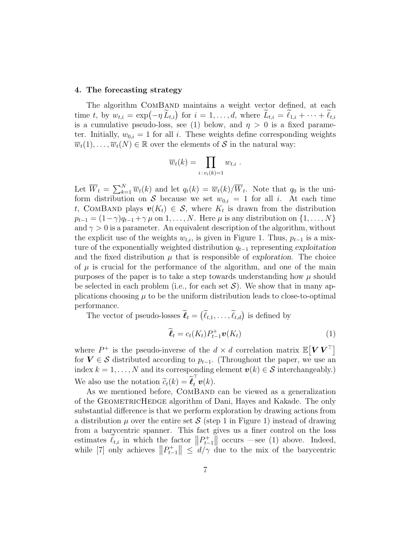#### 4. The forecasting strategy

The algorithm COMBAND maintains a weight vector defined, at each time t, by  $w_{t,i} = \exp(-\eta \, \hat{L}_{t,i})$  for  $i = 1, \ldots, d$ , where  $\hat{L}_{t,i} = \hat{\ell}_{1,i} + \cdots + \hat{\ell}_{t,i}$ is a cumulative pseudo-loss, see (1) below, and  $\eta > 0$  is a fixed parameter. Initially,  $w_{0,i} = 1$  for all i. These weights define corresponding weights  $\overline{w}_t(1), \ldots, \overline{w}_t(N) \in \mathbb{R}$  over the elements of S in the natural way:

$$
\overline{w}_t(k) = \prod_{i \,:\, v_i(k)=1} w_{t,i} \;.
$$

Let  $\overline{W}_t = \sum_{k=1}^N \overline{w}_t(k)$  and let  $q_t(k) = \overline{w}_t(k)/\overline{W}_t$ . Note that  $q_0$  is the uniform distribution on S because we set  $w_{0,i} = 1$  for all i. At each time t, COMBAND plays  $\mathbf{v}(K_t) \in \mathcal{S}$ , where  $K_t$  is drawn from the distribution  $p_{t-1} = (1 - \gamma)q_{t-1} + \gamma \mu$  on  $1, \ldots, N$ . Here  $\mu$  is any distribution on  $\{1, \ldots, N\}$ and  $\gamma > 0$  is a parameter. An equivalent description of the algorithm, without the explicit use of the weights  $w_{t,i}$ , is given in Figure 1. Thus,  $p_{t-1}$  is a mixture of the exponentially weighted distribution  $q_{t-1}$  representing exploitation and the fixed distribution  $\mu$  that is responsible of exploration. The choice of  $\mu$  is crucial for the performance of the algorithm, and one of the main purposes of the paper is to take a step towards understanding how  $\mu$  should be selected in each problem (i.e., for each set  $S$ ). We show that in many applications choosing  $\mu$  to be the uniform distribution leads to close-to-optimal performance.

The vector of pseudo-losses  $\hat{\ell}_t = (\ell_{t,1}, \ldots, \ell_{t,d})$  is defined by

$$
\widetilde{\ell}_t = c_t(K_t) P_{t-1}^+ \boldsymbol{v}(K_t) \tag{1}
$$

where  $P^+$  is the pseudo-inverse of the  $d \times d$  correlation matrix  $\mathbb{E}[V V^{\top}]$ for  $V \in S$  distributed according to  $p_{t-1}$ . (Throughout the paper, we use an index  $k = 1, ..., N$  and its corresponding element  $\mathbf{v}(k) \in \mathcal{S}$  interchangeably.) We also use the notation  $\widetilde{c}_t(k) = \widetilde{\ell}_t^{\top} \boldsymbol{v}(k)$ .<br>As we mentioned before COMBAND

As we mentioned before, COMBAND can be viewed as a generalization of the GeometricHedge algorithm of Dani, Hayes and Kakade. The only substantial difference is that we perform exploration by drawing actions from a distribution  $\mu$  over the entire set S (step 1 in Figure 1) instead of drawing from a barycentric spanner. This fact gives us a finer control on the loss estimates  $\widetilde{\ell}_{t,i}$  in which the factor  $||P_{t-1}^+||$  occurs —see (1) above. Indeed, while [7] only achieves  $||P_{t-1}^+|| \leq d/\gamma$  due to the mix of the barycentric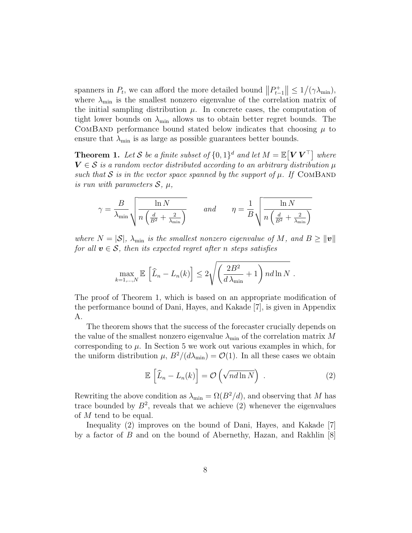spanners in  $P_t$ , we can afford the more detailed bound  $||P_{t-1}^+|| \leq 1/(\gamma \lambda_{\min})$ , where  $\lambda_{\min}$  is the smallest nonzero eigenvalue of the correlation matrix of the initial sampling distribution  $\mu$ . In concrete cases, the computation of tight lower bounds on  $\lambda_{\min}$  allows us to obtain better regret bounds. The COMBAND performance bound stated below indicates that choosing  $\mu$  to ensure that  $\lambda_{\min}$  is as large as possible guarantees better bounds.

**Theorem 1.** Let S be a finite subset of  $\{0,1\}^d$  and let  $M = \mathbb{E}[V V^\top]$  where  $V \in S$  is a random vector distributed according to an arbitrary distribution  $\mu$ such that S is in the vector space spanned by the support of  $\mu$ . If COMBAND is run with parameters  $\mathcal{S}, \mu$ ,

$$
\gamma = \frac{B}{\lambda_{\min}} \sqrt{\frac{\ln N}{n \left(\frac{d}{B^2} + \frac{2}{\lambda_{\min}}\right)}} \quad \text{and} \quad \eta = \frac{1}{B} \sqrt{\frac{\ln N}{n \left(\frac{d}{B^2} + \frac{2}{\lambda_{\min}}\right)}}
$$

where  $N = |\mathcal{S}|$ ,  $\lambda_{\min}$  is the smallest nonzero eigenvalue of M, and  $B \geq ||v||$ for all  $v \in S$ , then its expected regret after n steps satisfies

$$
\max_{k=1,\dots,N} \mathbb{E}\left[\widehat{L}_n - L_n(k)\right] \le 2\sqrt{\left(\frac{2B^2}{d\lambda_{\min}} + 1\right) n d \ln N}.
$$

The proof of Theorem 1, which is based on an appropriate modification of the performance bound of Dani, Hayes, and Kakade [7], is given in Appendix A.

The theorem shows that the success of the forecaster crucially depends on the value of the smallest nonzero eigenvalue  $\lambda_{\min}$  of the correlation matrix M corresponding to  $\mu$ . In Section 5 we work out various examples in which, for the uniform distribution  $\mu$ ,  $B^2/(d\lambda_{\min}) = \mathcal{O}(1)$ . In all these cases we obtain

$$
\mathbb{E}\left[\widehat{L}_n - L_n(k)\right] = \mathcal{O}\left(\sqrt{nd\ln N}\right) \tag{2}
$$

Rewriting the above condition as  $\lambda_{\min} = \Omega(B^2/d)$ , and observing that M has trace bounded by  $B^2$ , reveals that we achieve (2) whenever the eigenvalues of M tend to be equal.

Inequality (2) improves on the bound of Dani, Hayes, and Kakade [7] by a factor of  $B$  and on the bound of Abernethy, Hazan, and Rakhlin  $[8]$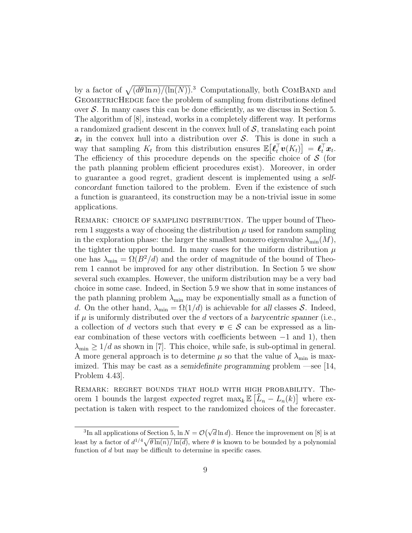by a factor of  $\sqrt{\frac{d\theta \ln n}{\ln(N)}}$ .<sup>3</sup> Computationally, both COMBAND and GEOMETRICHEDGE face the problem of sampling from distributions defined over  $S$ . In many cases this can be done efficiently, as we discuss in Section 5. The algorithm of [8], instead, works in a completely different way. It performs a randomized gradient descent in the convex hull of  $S$ , translating each point  $x_t$  in the convex hull into a distribution over S. This is done in such a way that sampling  $K_t$  from this distribution ensures  $\mathbb{E}\big[\mathbf{\ell}_t^{\top} \mathbf{v}(K_t)\big] = \mathbf{\ell}_t^{\top} \mathbf{x}_t$ . The efficiency of this procedure depends on the specific choice of  $S$  (for the path planning problem efficient procedures exist). Moreover, in order to guarantee a good regret, gradient descent is implemented using a selfconcordant function tailored to the problem. Even if the existence of such a function is guaranteed, its construction may be a non-trivial issue in some applications.

REMARK: CHOICE OF SAMPLING DISTRIBUTION. The upper bound of Theorem 1 suggests a way of choosing the distribution  $\mu$  used for random sampling in the exploration phase: the larger the smallest nonzero eigenvalue  $\lambda_{\min}(M)$ , the tighter the upper bound. In many cases for the uniform distribution  $\mu$ one has  $\lambda_{\min} = \Omega(B^2/d)$  and the order of magnitude of the bound of Theorem 1 cannot be improved for any other distribution. In Section 5 we show several such examples. However, the uniform distribution may be a very bad choice in some case. Indeed, in Section 5.9 we show that in some instances of the path planning problem  $\lambda_{\min}$  may be exponentially small as a function of d. On the other hand,  $\lambda_{\min} = \Omega(1/d)$  is achievable for all classes S. Indeed, if  $\mu$  is uniformly distributed over the d vectors of a barycentric spanner (i.e., a collection of d vectors such that every  $v \in \mathcal{S}$  can be expressed as a linear combination of these vectors with coefficients between  $-1$  and 1), then  $\lambda_{\min} \geq 1/d$  as shown in [7]. This choice, while safe, is sub-optimal in general. A more general approach is to determine  $\mu$  so that the value of  $\lambda_{\min}$  is maximized. This may be cast as a semidefinite programming problem  $\sim$  see [14, Problem 4.43].

Remark: regret bounds that hold with high probability. Theorem 1 bounds the largest expected regret  $\max_k \mathbb{E}\left[\widehat{L}_n - L_n(k)\right]$  where expectation is taken with respect to the randomized choices of the forecaster.

<sup>&</sup>lt;sup>3</sup>In all applications of Section 5,  $\ln N = \mathcal{O}(\sqrt{d} \ln d)$ . Hence the improvement on [8] is at least by a factor of  $d^{1/4}\sqrt{\theta \ln(n)/\ln(d)}$ , where  $\theta$  is known to be bounded by a polynomial function of d but may be difficult to determine in specific cases.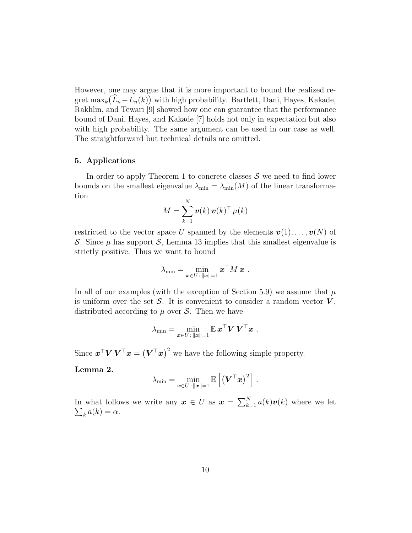However, one may argue that it is more important to bound the realized regret  $\max_k (L_n - L_n(k))$  with high probability. Bartlett, Dani, Hayes, Kakade, Rakhlin, and Tewari [9] showed how one can guarantee that the performance bound of Dani, Hayes, and Kakade [7] holds not only in expectation but also with high probability. The same argument can be used in our case as well. The straightforward but technical details are omitted.

## 5. Applications

In order to apply Theorem 1 to concrete classes  $S$  we need to find lower bounds on the smallest eigenvalue  $\lambda_{\min} = \lambda_{\min}(M)$  of the linear transformation

$$
M = \sum_{k=1}^{N} \boldsymbol{v}(k) \, \boldsymbol{v}(k)^{\top} \, \mu(k)
$$

restricted to the vector space U spanned by the elements  $\mathbf{v}(1), \ldots, \mathbf{v}(N)$  of S. Since  $\mu$  has support S, Lemma 13 implies that this smallest eigenvalue is strictly positive. Thus we want to bound

$$
\lambda_{\min} = \min_{\bm{x} \in U: \|\bm{x}\| = 1} \bm{x}^\top M \, \bm{x} \ .
$$

In all of our examples (with the exception of Section 5.9) we assume that  $\mu$ is uniform over the set  $S$ . It is convenient to consider a random vector  $V$ , distributed according to  $\mu$  over S. Then we have

$$
\lambda_{\min} = \min_{\bm{x} \in U \,:\, \|\bm{x}\| = 1} \mathbb{E} \, \bm{x}^\top \bm{V} \, \bm{V}^\top \bm{x} \;.
$$

Since  $\mathbf{x}^\top \mathbf{V} \mathbf{V}^\top \mathbf{x} = (\mathbf{V}^\top \mathbf{x})^2$  we have the following simple property.

Lemma 2.

$$
\lambda_{\min} = \min_{\boldsymbol{x} \in U : \|\boldsymbol{x}\| = 1} \mathbb{E}\left[\left(\boldsymbol{V}^\top \boldsymbol{x}\right)^2\right].
$$

In what follows we write any  $\boldsymbol{x} \in U$  as  $\boldsymbol{x} = \sum_{k=1}^{N} a(k) \boldsymbol{v}(k)$  where we let  $\sum_k a(k) = \alpha.$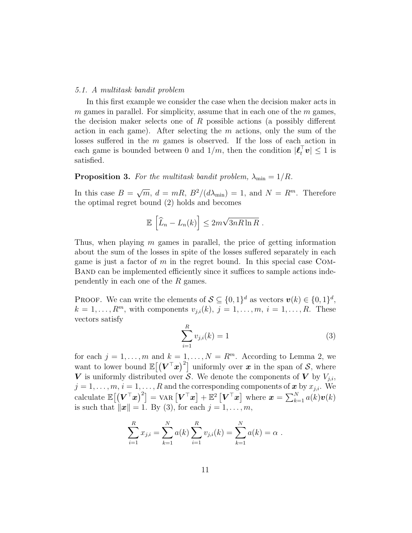## 5.1. A multitask bandit problem

In this first example we consider the case when the decision maker acts in  $m$  games in parallel. For simplicity, assume that in each one of the  $m$  games, the decision maker selects one of  $R$  possible actions (a possibly different action in each game). After selecting the  $m$  actions, only the sum of the losses suffered in the m games is observed. If the loss of each action in each game is bounded between 0 and  $1/m$ , then the condition  $|\ell_t^{\top} v| \leq 1$  is satisfied.

# **Proposition 3.** For the multitask bandit problem,  $\lambda_{\min} = 1/R$ .

In this case  $B =$  $\sqrt{m}$ ,  $d = mR$ ,  $B^2/(d\lambda_{\min}) = 1$ , and  $N = R^m$ . Therefore the optimal regret bound (2) holds and becomes

$$
\mathbb{E}\left[\widehat{L}_n - L_n(k)\right] \leq 2m\sqrt{3nR\ln R}.
$$

Thus, when playing  $m$  games in parallel, the price of getting information about the sum of the losses in spite of the losses suffered separately in each game is just a factor of  $m$  in the regret bound. In this special case COM-BAND can be implemented efficiently since it suffices to sample actions independently in each one of the R games.

**PROOF.** We can write the elements of  $S \subseteq \{0,1\}^d$  as vectors  $\mathbf{v}(k) \in \{0,1\}^d$ ,  $k = 1, \ldots, R^m$ , with components  $v_{j,i}(k)$ ,  $j = 1, \ldots, m$ ,  $i = 1, \ldots, R$ . These vectors satisfy

$$
\sum_{i=1}^{R} v_{j,i}(k) = 1
$$
 (3)

for each  $j = 1, \ldots, m$  and  $k = 1, \ldots, N = R^m$ . According to Lemma 2, we want to lower bound  $\mathbb{E}[(\boldsymbol{V}^\top \boldsymbol{x})^2]$  uniformly over  $\boldsymbol{x}$  in the span of  $\mathcal{S}$ , where V is uniformly distributed over  $\mathcal{S}$ . We denote the components of V by  $V_{j,i}$ ,  $j = 1, \ldots, m, i = 1, \ldots, R$  and the corresponding components of  $\boldsymbol{x}$  by  $x_{j,i}$ . We  $\text{calculate } \mathbb{E}\big[\big(\bm{V}^\top \bm{x}\big)^2\big] = \text{VAR}\left[\bm{V}^\top \bm{x}\right] + \mathbb{E}^2\left[\bm{V}^\top \bm{x}\right] \text{ where } \bm{x} = \sum_{k=1}^N a(k) \bm{v}(k)$ is such that  $\|\boldsymbol{x}\| = 1$ . By (3), for each  $j = 1, \ldots, m$ ,

$$
\sum_{i=1}^{R} x_{j,i} = \sum_{k=1}^{N} a(k) \sum_{i=1}^{R} v_{j,i}(k) = \sum_{k=1}^{N} a(k) = \alpha.
$$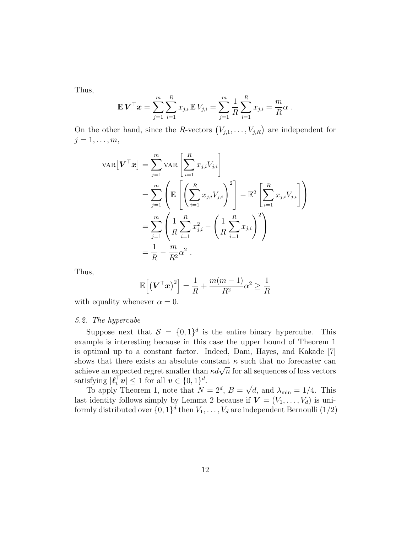Thus,

$$
\mathbb{E} \, \boldsymbol{V}^\top \boldsymbol{x} = \sum_{j=1}^m \sum_{i=1}^R x_{j,i} \, \mathbb{E} \, V_{j,i} = \sum_{j=1}^m \frac{1}{R} \sum_{i=1}^R x_{j,i} = \frac{m}{R} \alpha \ .
$$

On the other hand, since the R-vectors  $(V_{j,1},...,V_{j,R})$  are independent for  $j=1,\ldots,m,$ 

$$
\operatorname{VAR}[\boldsymbol{V}^{\top}\boldsymbol{x}] = \sum_{j=1}^{m} \operatorname{VAR} \left[ \sum_{i=1}^{R} x_{j,i} V_{j,i} \right]
$$
  
= 
$$
\sum_{j=1}^{m} \left( \mathbb{E} \left[ \left( \sum_{i=1}^{R} x_{j,i} V_{j,i} \right)^{2} \right] - \mathbb{E}^{2} \left[ \sum_{i=1}^{R} x_{j,i} V_{j,i} \right] \right)
$$
  
= 
$$
\sum_{j=1}^{m} \left( \frac{1}{R} \sum_{i=1}^{R} x_{j,i}^{2} - \left( \frac{1}{R} \sum_{i=1}^{R} x_{j,i} \right)^{2} \right)
$$
  
= 
$$
\frac{1}{R} - \frac{m}{R^{2}} \alpha^{2}.
$$

Thus,

$$
\mathbb{E}\left[\left(\boldsymbol{V}^{\top}\boldsymbol{x}\right)^{2}\right]=\frac{1}{R}+\frac{m(m-1)}{R^{2}}\alpha^{2}\geq\frac{1}{R}
$$

with equality whenever  $\alpha = 0$ .

## 5.2. The hypercube

Suppose next that  $S = \{0,1\}^d$  is the entire binary hypercube. This example is interesting because in this case the upper bound of Theorem 1 is optimal up to a constant factor. Indeed, Dani, Hayes, and Kakade [7] shows that there exists an absolute constant  $\kappa$  such that no forecaster can shows that there exists an absolute constant  $\kappa$  such that no lorecaster can<br>achieve an expected regret smaller than  $\kappa d\sqrt{n}$  for all sequences of loss vectors satisfying  $|\boldsymbol{\ell}_t^{\top} \boldsymbol{v}| \leq 1$  for all  $\boldsymbol{v} \in \{0, 1\}^d$ . √

To apply Theorem 1, note that  $N = 2^d$ ,  $B =$ d, and  $\lambda_{\min} = 1/4$ . This last identity follows simply by Lemma 2 because if  $\mathbf{V} = (V_1, \dots, V_d)$  is uniformly distributed over  $\{0,1\}^d$  then  $V_1, \ldots, V_d$  are independent Bernoulli  $(1/2)$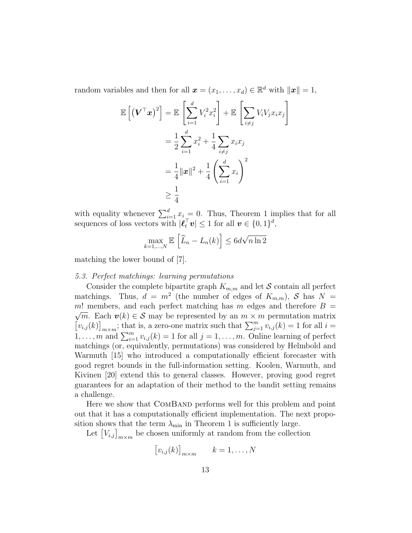random variables and then for all  $\boldsymbol{x} = (x_1, \ldots, x_d) \in \mathbb{R}^d$  with  $\|\boldsymbol{x}\| = 1$ ,

$$
\mathbb{E}\left[\left(\mathbf{V}^{\top}\mathbf{x}\right)^{2}\right] = \mathbb{E}\left[\sum_{i=1}^{d} V_{i}^{2} x_{i}^{2}\right] + \mathbb{E}\left[\sum_{i \neq j} V_{i} V_{j} x_{i} x_{j}\right]
$$

$$
= \frac{1}{2} \sum_{i=1}^{d} x_{i}^{2} + \frac{1}{4} \sum_{i \neq j} x_{i} x_{j}
$$

$$
= \frac{1}{4} ||\mathbf{x}||^{2} + \frac{1}{4} \left(\sum_{i=1}^{d} x_{i}\right)^{2}
$$

$$
\geq \frac{1}{4}
$$

with equality whenever  $\sum_{i=1}^{d} x_i = 0$ . Thus, Theorem 1 implies that for all sequences of loss vectors with  $|\ell_t^{\top} \mathbf{v}| \leq 1$  for all  $\mathbf{v} \in \{0, 1\}^d$ ,

$$
\max_{k=1,\dots,N} \mathbb{E}\left[\widehat{L}_n - L_n(k)\right] \le 6d\sqrt{n\ln 2}
$$

matching the lower bound of [7].

# 5.3. Perfect matchings: learning permutations

Consider the complete bipartite graph  $K_{m,m}$  and let S contain all perfect matchings. Thus,  $d = m^2$  (the number of edges of  $K_{m,m}$ ), S has  $N =$ m! members, and each perfect matching has m edges and therefore  $B =$  $\sqrt{m}$ . Each  $\mathbf{v}(k) \in \mathcal{S}$  may be represented by an  $m \times m$  permutation matrix  $[v_{i,j}(k)]_{m \times m}$ ; that is, a zero-one matrix such that  $\sum_{j=1}^{m} v_{i,j}(k) = 1$  for all  $i =$  $1, \ldots, m$  and  $\sum_{i=1}^{m} v_{i,j}(k) = 1$  for all  $j = 1, \ldots, m$ . Online learning of perfect matchings (or, equivalently, permutations) was considered by Helmbold and Warmuth [15] who introduced a computationally efficient forecaster with good regret bounds in the full-information setting. Koolen, Warmuth, and Kivinen [20] extend this to general classes. However, proving good regret guarantees for an adaptation of their method to the bandit setting remains a challenge.

Here we show that COMBAND performs well for this problem and point out that it has a computationally efficient implementation. The next proposition shows that the term  $\lambda_{\min}$  in Theorem 1 is sufficiently large.

Let  $[V_{i,j}]_{m \times m}$  be chosen uniformly at random from the collection

$$
[v_{i,j}(k)]_{m \times m} \qquad k = 1, \dots, N
$$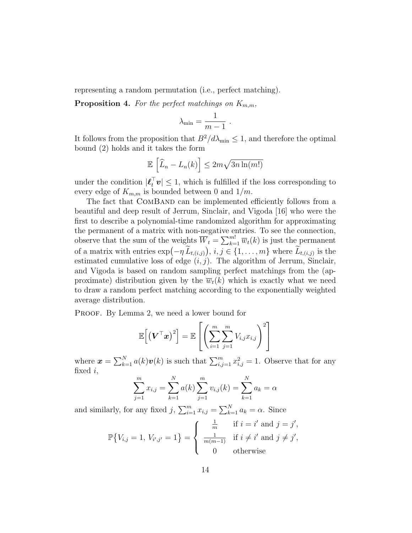representing a random permutation (i.e., perfect matching).

**Proposition 4.** For the perfect matchings on  $K_{m,m}$ ,

$$
\lambda_{\min}=\frac{1}{m-1}
$$

.

It follows from the proposition that  $B^2/d\lambda_{\min} \leq 1$ , and therefore the optimal bound (2) holds and it takes the form

$$
\mathbb{E}\left[\widehat{L}_n - L_n(k)\right] \leq 2m\sqrt{3n\ln(m!)}
$$

under the condition  $|\ell_t^{\top} v| \leq 1$ , which is fulfilled if the loss corresponding to every edge of  $K_{m,m}$  is bounded between 0 and  $1/m$ .

The fact that COMBAND can be implemented efficiently follows from a beautiful and deep result of Jerrum, Sinclair, and Vigoda [16] who were the first to describe a polynomial-time randomized algorithm for approximating the permanent of a matrix with non-negative entries. To see the connection, observe that the sum of the weights  $\overline{W}_t = \sum_{k=1}^{m!} \overline{w}_t(k)$  is just the permanent of a matrix with entries  $\exp(-\eta \tilde{L}_{t,(i,j)})$ ,  $i, j \in \{1, \ldots, m\}$  where  $\tilde{L}_{t,(i,j)}$  is the estimated cumulative loss of edge  $(i, j)$ . The algorithm of Jerrum, Sinclair, and Vigoda is based on random sampling perfect matchings from the (approximate) distribution given by the  $\overline{w}_t(k)$  which is exactly what we need to draw a random perfect matching according to the exponentially weighted average distribution.

PROOF. By Lemma 2, we need a lower bound for

$$
\mathbb{E}\left[\left(\boldsymbol{V}^{\top}\boldsymbol{x}\right)^{2}\right]=\mathbb{E}\left[\left(\sum_{i=1}^{m}\sum_{j=1}^{m}V_{i,j}x_{i,j}\right)^{2}\right]
$$

where  $\boldsymbol{x} = \sum_{k=1}^{N} a(k)\boldsymbol{v}(k)$  is such that  $\sum_{i,j=1}^{m} x_{i,j}^2 = 1$ . Observe that for any fixed  $i$ ,

$$
\sum_{j=1}^{m} x_{i,j} = \sum_{k=1}^{N} a(k) \sum_{j=1}^{m} v_{i,j}(k) = \sum_{k=1}^{N} a_k = \alpha
$$

and similarly, for any fixed  $j$ ,  $\sum_{i=1}^{m} x_{i,j} = \sum_{k=1}^{N} a_k = \alpha$ . Since

$$
\mathbb{P}\{V_{i,j} = 1, V_{i',j'} = 1\} = \begin{cases} \frac{\frac{1}{m}}{m} & \text{if } i = i' \text{ and } j = j',\\ \frac{1}{m(m-1)} & \text{if } i \neq i' \text{ and } j \neq j',\\ 0 & \text{otherwise} \end{cases}
$$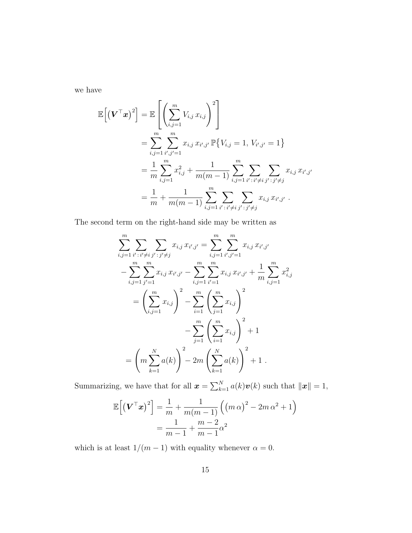we have

$$
\mathbb{E}\Big[\big(\boldsymbol{V}^{\top}\boldsymbol{x}\big)^{2}\Big] = \mathbb{E}\Bigg[\Bigg(\sum_{i,j=1}^{m}V_{i,j}x_{i,j}\Bigg)^{2}\Bigg] \n= \sum_{i,j=1}^{m}\sum_{i',j'=1}^{m}x_{i,j}x_{i',j'}\,\mathbb{P}\big\{V_{i,j}=1,\,V_{i',j'}=1\big\} \n= \frac{1}{m}\sum_{i,j=1}^{m}x_{i,j}^{2} + \frac{1}{m(m-1)}\sum_{i,j=1}^{m}\sum_{i':i'\neq i,j':j'\neq j}x_{i,j}\,x_{i',j'} \n= \frac{1}{m} + \frac{1}{m(m-1)}\sum_{i,j=1}^{m}\sum_{i':i'\neq i,j':j'\neq j}x_{i,j}\,x_{i',j'}.
$$

The second term on the right-hand side may be written as

$$
\sum_{i,j=1}^{m} \sum_{i':i'\neq i,j':j'\neq j} x_{i,j} x_{i',j'} = \sum_{i,j=1}^{m} \sum_{i',j'=1}^{m} x_{i,j} x_{i',j'}
$$

$$
- \sum_{i,j=1}^{m} \sum_{j'=1}^{m} x_{i,j} x_{i',j'} - \sum_{i,j=1}^{m} \sum_{i'=1}^{m} x_{i,j} x_{i',j'} + \frac{1}{m} \sum_{i,j=1}^{m} x_{i,j}^2
$$

$$
= \left(\sum_{i,j=1}^{m} x_{i,j}\right)^2 - \sum_{i=1}^{m} \left(\sum_{j=1}^{m} x_{i,j}\right)^2
$$

$$
- \sum_{j=1}^{m} \left(\sum_{i=1}^{m} x_{i,j}\right)^2 + 1
$$

$$
= \left(m \sum_{k=1}^{N} a(k)\right)^2 - 2m \left(\sum_{k=1}^{N} a(k)\right)^2 + 1.
$$

Summarizing, we have that for all  $\mathbf{x} = \sum_{k=1}^{N} a(k)\mathbf{v}(k)$  such that  $\|\mathbf{x}\| = 1$ ,

$$
\mathbb{E}\left[\left(\mathbf{V}^{\top}\mathbf{x}\right)^{2}\right] = \frac{1}{m} + \frac{1}{m(m-1)}\left(\left(m\,\alpha\right)^{2} - 2m\,\alpha^{2} + 1\right)
$$

$$
= \frac{1}{m-1} + \frac{m-2}{m-1}\alpha^{2}
$$

which is at least  $1/(m-1)$  with equality whenever  $\alpha = 0$ .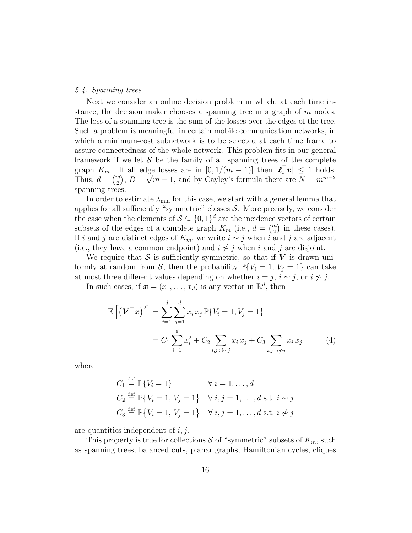## 5.4. Spanning trees

Next we consider an online decision problem in which, at each time instance, the decision maker chooses a spanning tree in a graph of m nodes. The loss of a spanning tree is the sum of the losses over the edges of the tree. Such a problem is meaningful in certain mobile communication networks, in which a minimum-cost subnetwork is to be selected at each time frame to assure connectedness of the whole network. This problem fits in our general framework if we let  $\mathcal S$  be the family of all spanning trees of the complete graph  $K_m$ . If all edge losses are in  $[0, 1/(m-1)]$  then  $|\ell_t^{\top} v| \leq 1$  holds. Thus,  $d = \binom{m}{2}$ ,  $B =$ lg(  $\overline{m-1}$ , and by Cayley's formula there are  $N = m^{m-2}$ spanning trees.

In order to estimate  $\lambda_{\min}$  for this case, we start with a general lemma that applies for all sufficiently "symmetric" classes  $S$ . More precisely, we consider the case when the elements of  $S \subseteq \{0,1\}^d$  are the incidence vectors of certain subsets of the edges of a complete graph  $K_m$  (i.e.,  $d = \binom{m}{2}$  in these cases). If i and j are distinct edges of  $K_m$ , we write  $i \sim j$  when i and j are adjacent (i.e., they have a common endpoint) and  $i \nless j$  when i and j are disjoint.

We require that S is sufficiently symmetric, so that if  $V$  is drawn uniformly at random from S, then the probability  $\mathbb{P}{V_i = 1, V_j = 1}$  can take at most three different values depending on whether  $i = j$ ,  $i \sim j$ , or  $i \not\sim j$ .

In such cases, if  $\boldsymbol{x} = (x_1, \ldots, x_d)$  is any vector in  $\mathbb{R}^d$ , then

$$
\mathbb{E}\left[\left(\mathbf{V}^{\top}\mathbf{x}\right)^{2}\right] = \sum_{i=1}^{d} \sum_{j=1}^{d} x_{i} x_{j} \mathbb{P}\{V_{i} = 1, V_{j} = 1\}
$$
\n
$$
= C_{1} \sum_{i=1}^{d} x_{i}^{2} + C_{2} \sum_{i, j: i \sim j} x_{i} x_{j} + C_{3} \sum_{i, j: i \neq j} x_{i} x_{j} \tag{4}
$$

where

$$
C_1 \stackrel{\text{def}}{=} \mathbb{P}\{V_i = 1\} \qquad \forall i = 1, ..., d
$$
  
\n
$$
C_2 \stackrel{\text{def}}{=} \mathbb{P}\{V_i = 1, V_j = 1\} \qquad \forall i, j = 1, ..., d \text{ s.t. } i \sim j
$$
  
\n
$$
C_3 \stackrel{\text{def}}{=} \mathbb{P}\{V_i = 1, V_j = 1\} \qquad \forall i, j = 1, ..., d \text{ s.t. } i \nsim j
$$

are quantities independent of  $i, j$ .

This property is true for collections S of "symmetric" subsets of  $K_m$ , such as spanning trees, balanced cuts, planar graphs, Hamiltonian cycles, cliques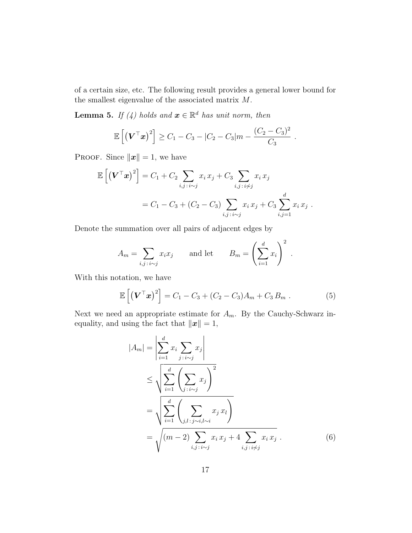of a certain size, etc. The following result provides a general lower bound for the smallest eigenvalue of the associated matrix  $M.$ 

**Lemma 5.** If (4) holds and  $\mathbf{x} \in \mathbb{R}^d$  has unit norm, then

$$
\mathbb{E}\left[\left(\mathbf{V}^{\top}\mathbf{x}\right)^{2}\right] \geq C_{1}-C_{3}-|C_{2}-C_{3}|m-\frac{(C_{2}-C_{3})^{2}}{C_{3}}.
$$

PROOF. Since  $||x|| = 1$ , we have

$$
\mathbb{E}\left[\left(\mathbf{V}^{\top}\mathbf{x}\right)^{2}\right] = C_{1} + C_{2} \sum_{i,j \,:\, i \sim j} x_{i} x_{j} + C_{3} \sum_{i,j \,:\, i \not\sim j} x_{i} x_{j}
$$
\n
$$
= C_{1} - C_{3} + (C_{2} - C_{3}) \sum_{i,j \,:\, i \sim j} x_{i} x_{j} + C_{3} \sum_{i,j=1}^{d} x_{i} x_{j}.
$$

Denote the summation over all pairs of adjacent edges by

$$
A_m = \sum_{i,j \,:\, i \sim j} x_i x_j \qquad \text{and let} \qquad B_m = \left(\sum_{i=1}^d x_i\right)^2 \;.
$$

With this notation, we have

$$
\mathbb{E}\left[\left(\mathbf{V}^{\top}\mathbf{x}\right)^{2}\right]=C_{1}-C_{3}+(C_{2}-C_{3})A_{m}+C_{3}B_{m}. \qquad (5)
$$

Next we need an appropriate estimate for  $A_m$ . By the Cauchy-Schwarz inequality, and using the fact that  $\|\boldsymbol{x}\|=1,$ 

$$
|A_m| = \left| \sum_{i=1}^d x_i \sum_{j \,:\, i \sim j} x_j \right|
$$
  
\n
$$
\leq \sqrt{\sum_{i=1}^d \left( \sum_{j \,:\, i \sim j} x_j \right)^2}
$$
  
\n
$$
= \sqrt{\sum_{i=1}^d \left( \sum_{j,l \,:\, j \sim i, l \sim i} x_j x_l \right)}
$$
  
\n
$$
= \sqrt{(m-2) \sum_{i,j \,:\, i \sim j} x_i x_j + 4 \sum_{i,j \,:\, i \not\sim j} x_i x_j}.
$$
 (6)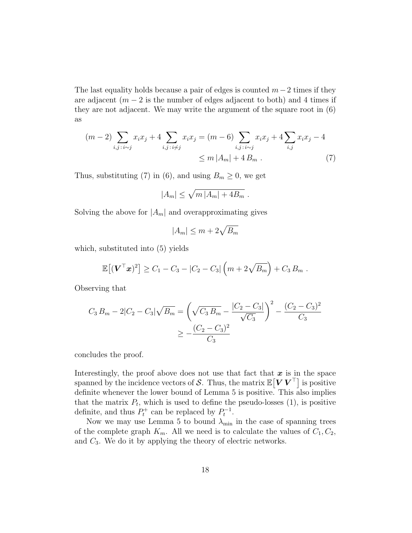The last equality holds because a pair of edges is counted  $m-2$  times if they are adjacent  $(m-2)$  is the number of edges adjacent to both) and 4 times if they are not adjacent. We may write the argument of the square root in (6) as

$$
(m-2)\sum_{i,j\,:\,i\sim j} x_i x_j + 4 \sum_{i,j\,:\,i\neq j} x_i x_j = (m-6)\sum_{i,j\,:\,i\sim j} x_i x_j + 4 \sum_{i,j} x_i x_j - 4
$$

$$
\leq m |A_m| + 4 B_m . \tag{7}
$$

Thus, substituting (7) in (6), and using  $B_m \geq 0$ , we get

$$
|A_m| \leq \sqrt{m |A_m| + 4B_m} .
$$

Solving the above for  $|A_m|$  and overapproximating gives

$$
|A_m| \le m + 2\sqrt{B_m}
$$

which, substituted into (5) yields

$$
\mathbb{E}[(\bm{V}^\top \bm{x})^2] \geq C_1 - C_3 - |C_2 - C_3| (m + 2\sqrt{B_m}) + C_3 B_m.
$$

Observing that

$$
C_3 B_m - 2|C_2 - C_3|\sqrt{B_m} = \left(\sqrt{C_3 B_m} - \frac{|C_2 - C_3|}{\sqrt{C_3}}\right)^2 - \frac{(C_2 - C_3)^2}{C_3}
$$

$$
\ge -\frac{(C_2 - C_3)^2}{C_3}
$$

concludes the proof.

Interestingly, the proof above does not use that fact that  $x$  is in the space spanned by the incidence vectors of S. Thus, the matrix  $\mathbb{E}[V V^{\top}]$  is positive definite whenever the lower bound of Lemma 5 is positive. This also implies that the matrix  $P_t$ , which is used to define the pseudo-losses (1), is positive definite, and thus  $P_t^+$  can be replaced by  $P_t^{-1}$ .

Now we may use Lemma 5 to bound  $\lambda_{\min}$  in the case of spanning trees of the complete graph  $K_m$ . All we need is to calculate the values of  $C_1, C_2$ , and  $C_3$ . We do it by applying the theory of electric networks.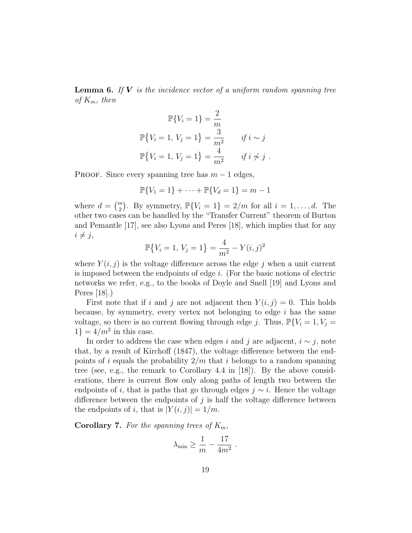**Lemma 6.** If  $V$  is the incidence vector of a uniform random spanning tree of  $K_m$ , then

$$
\mathbb{P}{V_i = 1} = \frac{2}{m}
$$

$$
\mathbb{P}{V_i = 1, V_j = 1} = \frac{3}{m^2} \quad \text{if } i \sim j
$$

$$
\mathbb{P}{V_i = 1, V_j = 1} = \frac{4}{m^2} \quad \text{if } i \not\sim j.
$$

PROOF. Since every spanning tree has  $m-1$  edges,

$$
\mathbb{P}{V_1 = 1} + \cdots + \mathbb{P}{V_d = 1} = m - 1
$$

where  $d = \binom{m}{2}$ . By symmetry,  $\mathbb{P}\{V_i = 1\} = 2/m$  for all  $i = 1, ..., d$ . The other two cases can be handled by the "Transfer Current" theorem of Burton and Pemantle [17], see also Lyons and Peres [18], which implies that for any  $i \neq j$ ,

$$
\mathbb{P}\big\{V_i=1,\,V_j=1\big\}=\frac{4}{m^2}-Y(i,j)^2
$$

where  $Y(i, j)$  is the voltage difference across the edge j when a unit current is imposed between the endpoints of edge  $i$ . (For the basic notions of electric networks we refer, e.g., to the books of Doyle and Snell [19] and Lyons and Peres [18].)

First note that if i and j are not adjacent then  $Y(i, j) = 0$ . This holds because, by symmetry, every vertex not belonging to edge  $i$  has the same voltage, so there is no current flowing through edge j. Thus,  $\mathbb{P}\{V_i = 1, V_j =$  $1$ } =  $4/m^2$  in this case.

In order to address the case when edges i and j are adjacent,  $i \sim j$ , note that, by a result of Kirchoff (1847), the voltage difference between the endpoints of i equals the probability  $2/m$  that i belongs to a random spanning tree (see, e.g., the remark to Corollary 4.4 in [18]). By the above considerations, there is current flow only along paths of length two between the endpoints of i, that is paths that go through edges  $j \sim i$ . Hence the voltage difference between the endpoints of  $j$  is half the voltage difference between the endpoints of i, that is  $|Y(i, j)| = 1/m$ .

**Corollary 7.** For the spanning trees of  $K_m$ ,

$$
\lambda_{\min} \ge \frac{1}{m} - \frac{17}{4m^2} .
$$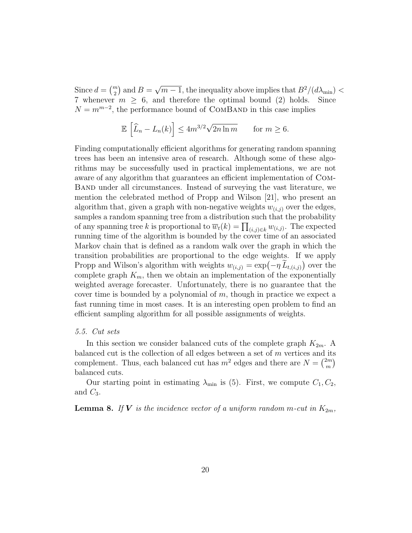Since  $d = \binom{m}{2}$  and  $B =$ √  $\overline{m-1}$ , the inequality above implies that  $B^2/(d\lambda_{\min})$  < 7 whenever  $m \geq 6$ , and therefore the optimal bound (2) holds. Since  $N = m^{m-2}$ , the performance bound of COMBAND in this case implies

$$
\mathbb{E}\left[\widehat{L}_n - L_n(k)\right] \le 4m^{3/2}\sqrt{2n\ln m} \qquad \text{for } m \ge 6.
$$

Finding computationally efficient algorithms for generating random spanning trees has been an intensive area of research. Although some of these algorithms may be successfully used in practical implementations, we are not aware of any algorithm that guarantees an efficient implementation of Com-Band under all circumstances. Instead of surveying the vast literature, we mention the celebrated method of Propp and Wilson [21], who present an algorithm that, given a graph with non-negative weights  $w_{(i,j)}$  over the edges, samples a random spanning tree from a distribution such that the probability of any spanning tree k is proportional to  $\overline{w}_t(k) = \prod_{(i,j)\in k} w_{(i,j)}$ . The expected running time of the algorithm is bounded by the cover time of an associated Markov chain that is defined as a random walk over the graph in which the transition probabilities are proportional to the edge weights. If we apply Propp and Wilson's algorithm with weights  $w_{(i,j)} = \exp(-\eta L_{t,(i,j)})$  over the complete graph  $K_m$ , then we obtain an implementation of the exponentially weighted average forecaster. Unfortunately, there is no guarantee that the cover time is bounded by a polynomial of  $m$ , though in practice we expect a fast running time in most cases. It is an interesting open problem to find an efficient sampling algorithm for all possible assignments of weights.

## 5.5. Cut sets

In this section we consider balanced cuts of the complete graph  $K_{2m}$ . A balanced cut is the collection of all edges between a set of  $m$  vertices and its complement. Thus, each balanced cut has  $m^2$  edges and there are  $N = \binom{2m}{m}$  $\binom{2m}{m}$ balanced cuts.

Our starting point in estimating  $\lambda_{\min}$  is (5). First, we compute  $C_1, C_2$ , and  $C_3$ .

**Lemma 8.** If **V** is the incidence vector of a uniform random m-cut in  $K_{2m}$ ,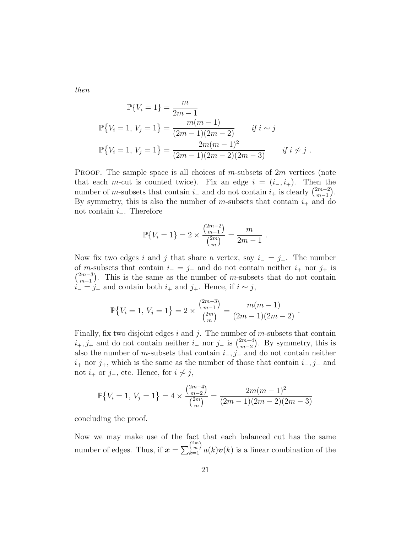then

$$
\mathbb{P}{V_i = 1} = \frac{m}{2m - 1}
$$
  

$$
\mathbb{P}{V_i = 1, V_j = 1} = \frac{m(m - 1)}{(2m - 1)(2m - 2)} \quad \text{if } i \sim j
$$
  

$$
\mathbb{P}{V_i = 1, V_j = 1} = \frac{2m(m - 1)^2}{(2m - 1)(2m - 2)(2m - 3)} \quad \text{if } i \not\sim j.
$$

**PROOF.** The sample space is all choices of m-subsets of  $2m$  vertices (note that each m-cut is counted twice). Fix an edge  $i = (i_-, i_+).$  Then the number of m-subsets that contain  $i_$  and do not contain  $i_+$  is clearly  $\binom{2m-2}{m-1}$  $_{m-1}^{2m-2}$ ). By symmetry, this is also the number of m-subsets that contain  $i_+$  and do not contain  $i_$ . Therefore

$$
\mathbb{P}{V_i = 1} = 2 \times \frac{\binom{2m-2}{m-1}}{\binom{2m}{m}} = \frac{m}{2m-1}.
$$

Now fix two edges i and j that share a vertex, say  $i = j_-.$  The number of m-subsets that contain  $i_-=j_-$  and do not contain neither  $i_+$  nor  $j_+$  is  $\binom{2m-3}{m-1}$  $\binom{2m-3}{m-1}$ . This is the same as the number of m-subsets that do not contain  $i_{-} = j_{-}$  and contain both  $i_{+}$  and  $j_{+}$ . Hence, if  $i \sim j$ ,

$$
\mathbb{P}\big\{V_i=1,\,V_j=1\big\}=2\times\frac{\binom{2m-3}{m-1}}{\binom{2m}{m}}=\frac{m(m-1)}{(2m-1)(2m-2)}.
$$

Finally, fix two disjoint edges  $i$  and  $j$ . The number of m-subsets that contain  $i_+, j_+$  and do not contain neither  $i_-$  nor  $j_-$  is  $\binom{2m-4}{m-2}$  $\binom{2m-4}{m-2}$ . By symmetry, this is also the number of m-subsets that contain  $i_-, j_-$  and do not contain neither  $i_{+}$  nor  $j_{+}$ , which is the same as the number of those that contain  $i_{-}, j_{+}$  and not  $i_+$  or  $j_-,$  etc. Hence, for  $i \not\sim j$ ,

$$
\mathbb{P}\left\{V_i=1, V_j=1\right\} = 4 \times \frac{\binom{2m-4}{m-2}}{\binom{2m}{m}} = \frac{2m(m-1)^2}{(2m-1)(2m-2)(2m-3)}
$$

concluding the proof.

Now we may make use of the fact that each balanced cut has the same number of edges. Thus, if  $\boldsymbol{x} = \sum_{k=1}^{\binom{2m}{m}} a(k) \boldsymbol{v}(k)$  is a linear combination of the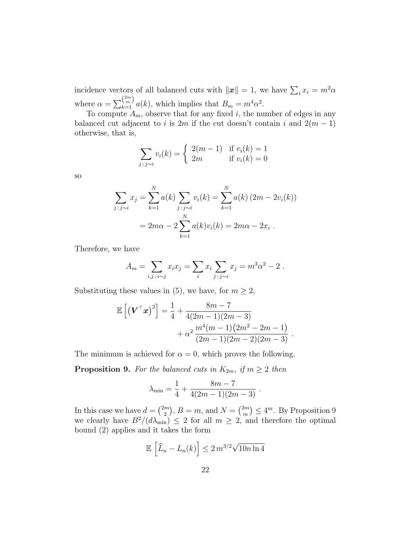incidence vectors of all balanced cuts with  $||x|| = 1$ , we have  $\sum_i x_i = m^2 \alpha$ where  $\alpha = \sum_{k=1}^{\binom{2m}{m}} a(k)$ , which implies that  $B_m = m^4 \alpha^2$ .

To compute  $A_m$ , observe that for any fixed i, the number of edges in any balanced cut adjacent to i is 2m if the cut doesn't contain i and  $2(m-1)$ otherwise, that is,

$$
\sum_{j \,:\, j \sim i} v_i(k) = \begin{cases} 2(m-1) & \text{if } v_i(k) = 1\\ 2m & \text{if } v_i(k) = 0 \end{cases}
$$

so

$$
\sum_{j \,:\, j \sim i} x_j = \sum_{k=1}^N a(k) \sum_{j \,:\, j \sim i} v_i(k) = \sum_{k=1}^N a(k) \left( 2m - 2v_i(k) \right)
$$

$$
= 2m\alpha - 2 \sum_{k=1}^N a(k)v_i(k) = 2m\alpha - 2x_i .
$$

Therefore, we have

$$
A_m = \sum_{i,j \,:\, i \sim j} x_i x_j = \sum_i x_i \sum_{j \,:\, j \sim i} x_j = m^3 \alpha^2 - 2 \;.
$$

Substituting these values in (5), we have, for  $m \geq 2$ ,

$$
\mathbb{E}\left[\left(\mathbf{V}^{\top}\mathbf{x}\right)^{2}\right] = \frac{1}{4} + \frac{8m - 7}{4(2m - 1)(2m - 3)} + \alpha^{2} \frac{m^{4}(m - 1)(2m^{2} - 2m - 1)}{(2m - 1)(2m - 2)(2m - 3)}.
$$

The minimum is achieved for  $\alpha = 0$ , which proves the following.

**Proposition 9.** For the balanced cuts in  $K_{2m}$ , if  $m \geq 2$  then

$$
\lambda_{\min} = \frac{1}{4} + \frac{8m - 7}{4(2m - 1)(2m - 3)}.
$$

In this case we have  $d = \binom{2m}{2}$  $\binom{m}{2}$ ,  $B = m$ , and  $N = \binom{2m}{m}$  $\binom{2m}{m} \leq 4^m$ . By Proposition 9 we clearly have  $B^2/(d\lambda_{\min}) \leq 2$  for all  $m \geq 2$ , and therefore the optimal bound (2) applies and it takes the form

$$
\mathbb{E}\left[\widehat{L}_n - L_n(k)\right] \le 2\,m^{3/2}\sqrt{10n\ln 4}
$$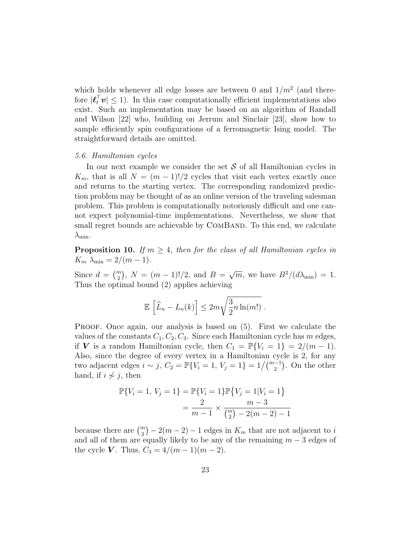which holds whenever all edge losses are between 0 and  $1/m^2$  (and therefore  $|\ell_t^{\top} v| \leq 1$ ). In this case computationally efficient implementations also exist. Such an implementation may be based on an algorithm of Randall and Wilson [22] who, building on Jerrum and Sinclair [23], show how to sample efficiently spin configurations of a ferromagnetic Ising model. The straightforward details are omitted.

## 5.6. Hamiltonian cycles

In our next example we consider the set  $S$  of all Hamiltonian cycles in  $K_m$ , that is all  $N = (m-1)!/2$  cycles that visit each vertex exactly once and returns to the starting vertex. The corresponding randomized prediction problem may be thought of as an online version of the traveling salesman problem. This problem is computationally notoriously difficult and one cannot expect polynomial-time implementations. Nevertheless, we show that small regret bounds are achievable by COMBAND. To this end, we calculate  $\lambda_{\min}$ .

**Proposition 10.** If  $m \geq 4$ , then for the class of all Hamiltonian cycles in  $K_m \lambda_{\min} = 2/(m-1).$ 

Since  $d = \binom{m}{2}$ ,  $N = (m-1)!/2$ , and  $B =$  $\sqrt{m}$ , we have  $B^2/(d\lambda_{\min}) = 1$ . Thus the optimal bound (2) applies achieving

$$
\mathbb{E}\left[\widehat{L}_n - L_n(k)\right] \leq 2m\sqrt{\frac{3}{2}n\ln(m!)}.
$$

PROOF. Once again, our analysis is based on  $(5)$ . First we calculate the values of the constants  $C_1, C_2, C_3$ . Since each Hamiltonian cycle has m edges, if V is a random Hamiltonian cycle, then  $C_1 = \mathbb{P}{V_i = 1} = 2/(m-1)$ . Also, since the degree of every vertex in a Hamiltonian cycle is 2, for any two adjacent edges  $i \sim j$ ,  $C_2 = \mathbb{P}\{V_i = 1, V_j = 1\} = 1/(\frac{m-1}{2})$ . On the other hand, if  $i \nsim j$ , then

$$
\mathbb{P}{V_i = 1, V_j = 1} = \mathbb{P}{V_i = 1} \mathbb{P}{V_j = 1 | V_i = 1}
$$

$$
= \frac{2}{m-1} \times \frac{m-3}{\binom{m}{2} - 2(m-2) - 1}
$$

because there are  $\binom{m}{2} - 2(m - 2) - 1$  edges in  $K_m$  that are not adjacent to i and all of them are equally likely to be any of the remaining  $m-3$  edges of the cycle **V**. Thus,  $C_3 = 4/(m-1)(m-2)$ .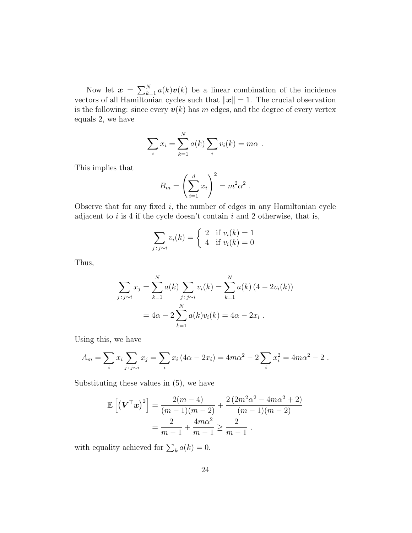Now let  $\mathbf{x} = \sum_{k=1}^{N} a(k)\mathbf{v}(k)$  be a linear combination of the incidence vectors of all Hamiltonian cycles such that  $||x|| = 1$ . The crucial observation is the following: since every  $v(k)$  has m edges, and the degree of every vertex equals 2, we have

$$
\sum_i x_i = \sum_{k=1}^N a(k) \sum_i v_i(k) = m\alpha.
$$

This implies that

$$
B_m = \left(\sum_{i=1}^d x_i\right)^2 = m^2\alpha^2.
$$

Observe that for any fixed  $i$ , the number of edges in any Hamiltonian cycle adjacent to  $i$  is 4 if the cycle doesn't contain  $i$  and 2 otherwise, that is,

$$
\sum_{j:j\sim i} v_i(k) = \begin{cases} 2 & \text{if } v_i(k) = 1 \\ 4 & \text{if } v_i(k) = 0 \end{cases}
$$

Thus,

$$
\sum_{j \,:\, j \sim i} x_j = \sum_{k=1}^N a(k) \sum_{j \,:\, j \sim i} v_i(k) = \sum_{k=1}^N a(k) \left( 4 - 2v_i(k) \right)
$$

$$
= 4\alpha - 2 \sum_{k=1}^N a(k) v_i(k) = 4\alpha - 2x_i .
$$

Using this, we have

$$
A_m = \sum_i x_i \sum_{j \,:\, j \sim i} x_j = \sum_i x_i (4\alpha - 2x_i) = 4m\alpha^2 - 2 \sum_i x_i^2 = 4m\alpha^2 - 2.
$$

Substituting these values in (5), we have

$$
\mathbb{E}\left[\left(\mathbf{V}^{\top}\mathbf{x}\right)^{2}\right] = \frac{2(m-4)}{(m-1)(m-2)} + \frac{2\left(2m^{2}\alpha^{2} - 4m\alpha^{2} + 2\right)}{(m-1)(m-2)}
$$

$$
= \frac{2}{m-1} + \frac{4m\alpha^{2}}{m-1} \ge \frac{2}{m-1}.
$$

with equality achieved for  $\sum_k a(k) = 0$ .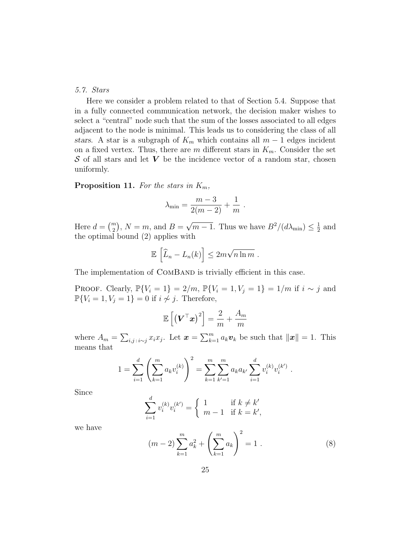## 5.7. Stars

Here we consider a problem related to that of Section 5.4. Suppose that in a fully connected communication network, the decision maker wishes to select a "central" node such that the sum of the losses associated to all edges adjacent to the node is minimal. This leads us to considering the class of all stars. A star is a subgraph of  $K_m$  which contains all  $m-1$  edges incident on a fixed vertex. Thus, there are m different stars in  $K_m$ . Consider the set  $\mathcal S$  of all stars and let  $V$  be the incidence vector of a random star, chosen uniformly.

**Proposition 11.** For the stars in  $K_m$ ,

$$
\lambda_{\min} = \frac{m-3}{2(m-2)} + \frac{1}{m}.
$$

Here  $d = \binom{m}{2}$ ,  $N = m$ , and  $B =$ √  $\overline{m-1}$ . Thus we have  $B^2/(d\lambda_{\min}) \leq \frac{1}{2}$  $\frac{1}{2}$  and the optimal bound (2) applies with

$$
\mathbb{E}\left[\widehat{L}_n - L_n(k)\right] \leq 2m\sqrt{n\ln m}.
$$

The implementation of COMBAND is trivially efficient in this case.

PROOF. Clearly,  $\mathbb{P}{V_i = 1} = 2/m$ ,  $\mathbb{P}{V_i = 1, V_j = 1} = 1/m$  if  $i \sim j$  and  $\mathbb{P}{V_i = 1, V_j = 1} = 0$  if  $i \nsim j$ . Therefore,

$$
\mathbb{E}\left[\left(\boldsymbol{V}^{\top}\boldsymbol{x}\right)^{2}\right]=\frac{2}{m}+\frac{A_{m}}{m}
$$

where  $A_m = \sum_{i,j \in [n]} x_i x_j$ . Let  $\boldsymbol{x} = \sum_{k=1}^m a_k \boldsymbol{v}_k$  be such that  $\|\boldsymbol{x}\| = 1$ . This means that

$$
1 = \sum_{i=1}^d \left( \sum_{k=1}^m a_k v_i^{(k)} \right)^2 = \sum_{k=1}^m \sum_{k'=1}^m a_k a_{k'} \sum_{i=1}^d v_i^{(k)} v_i^{(k')}.
$$

Since

$$
\sum_{i=1}^{d} v_i^{(k)} v_i^{(k')} = \begin{cases} 1 & \text{if } k \neq k' \\ m-1 & \text{if } k = k', \end{cases}
$$

we have

$$
(m-2)\sum_{k=1}^{m} a_k^2 + \left(\sum_{k=1}^{m} a_k\right)^2 = 1.
$$
 (8)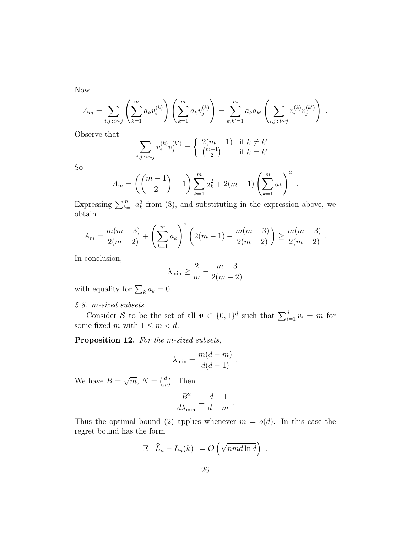Now

$$
A_m = \sum_{i,j \,:\, i \sim j} \left( \sum_{k=1}^m a_k v_i^{(k)} \right) \left( \sum_{k=1}^m a_k v_j^{(k)} \right) = \sum_{k,k'=1}^m a_k a_{k'} \left( \sum_{i,j \,:\, i \sim j} v_i^{(k)} v_j^{(k')} \right)
$$

.

Observe that

$$
\sum_{i,j \,:\, i \sim j} v_i^{(k)} v_j^{(k')} = \begin{cases} 2(m-1) & \text{if } k \neq k' \\ \binom{m-1}{2} & \text{if } k = k'. \end{cases}
$$

So

$$
A_m = \left( {m-1 \choose 2} - 1 \right) \sum_{k=1}^m a_k^2 + 2(m-1) \left( \sum_{k=1}^m a_k \right)^2.
$$

Expressing  $\sum_{k=1}^{m} a_k^2$  from (8), and substituting in the expression above, we obtain

$$
A_m = \frac{m(m-3)}{2(m-2)} + \left(\sum_{k=1}^m a_k\right)^2 \left(2(m-1) - \frac{m(m-3)}{2(m-2)}\right) \ge \frac{m(m-3)}{2(m-2)}.
$$

In conclusion,

$$
\lambda_{\min} \geq \frac{2}{m} + \frac{m-3}{2(m-2)}
$$

with equality for  $\sum_k a_k = 0$ .

# 5.8. m-sized subsets

Consider S to be the set of all  $\mathbf{v} \in \{0,1\}^d$  such that  $\sum_{i=1}^d v_i = m$  for some fixed m with  $1 \leq m < d$ .

Proposition 12. For the m-sized subsets,

$$
\lambda_{\min} = \frac{m(d-m)}{d(d-1)} \ .
$$

We have  $B =$ √  $\overline{m}$ ,  $N = \begin{pmatrix} d \\ m \end{pmatrix}$  $\binom{d}{m}$ . Then

$$
\frac{B^2}{d\lambda_{\min}} = \frac{d-1}{d-m} .
$$

Thus the optimal bound (2) applies whenever  $m = o(d)$ . In this case the regret bound has the form

$$
\mathbb{E}\left[\widehat{L}_n - L_n(k)\right] = \mathcal{O}\left(\sqrt{nmd\ln d}\right) .
$$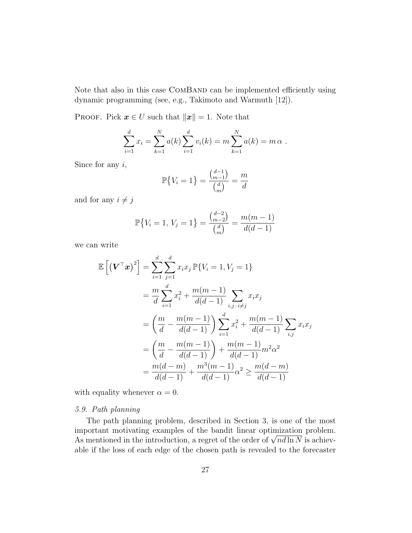Note that also in this case COMBAND can be implemented efficiently using dynamic programming (see, e.g., Takimoto and Warmuth [12]).

PROOF. Pick  $\boldsymbol{x} \in U$  such that  $\|\boldsymbol{x}\| = 1$ . Note that

$$
\sum_{i=1}^{d} x_i = \sum_{k=1}^{N} a(k) \sum_{i=1}^{d} v_i(k) = m \sum_{k=1}^{N} a(k) = m \alpha.
$$

Since for any  $i$ ,

$$
\mathbb{P}\{V_i = 1\} = \frac{\binom{d-1}{m-1}}{\binom{d}{m}} = \frac{m}{d}
$$

and for any  $i \neq j$ 

$$
\mathbb{P}\left\{V_i = 1, V_j = 1\right\} = \frac{\binom{d-2}{m-2}}{\binom{d}{m}} = \frac{m(m-1)}{d(d-1)}
$$

we can write

$$
\mathbb{E}\left[\left(\mathbf{V}^{\top}\mathbf{x}\right)^{2}\right] = \sum_{i=1}^{d} \sum_{j=1}^{d} x_{i}x_{j} \mathbb{P}\{V_{i} = 1, V_{j} = 1\}
$$
\n
$$
= \frac{m}{d} \sum_{i=1}^{d} x_{i}^{2} + \frac{m(m-1)}{d(d-1)} \sum_{i,j \, : \, i \neq j} x_{i}x_{j}
$$
\n
$$
= \left(\frac{m}{d} - \frac{m(m-1)}{d(d-1)}\right) \sum_{i=1}^{d} x_{i}^{2} + \frac{m(m-1)}{d(d-1)} \sum_{i,j} x_{i}x_{j}
$$
\n
$$
= \left(\frac{m}{d} - \frac{m(m-1)}{d(d-1)}\right) + \frac{m(m-1)}{d(d-1)} m^{2} \alpha^{2}
$$
\n
$$
= \frac{m(d-m)}{d(d-1)} + \frac{m^{3}(m-1)}{d(d-1)} \alpha^{2} \ge \frac{m(d-m)}{d(d-1)}
$$

with equality whenever  $\alpha = 0$ .

# 5.9. Path planning

The path planning problem, described in Section 3, is one of the most important motivating examples of the bandit linear optimization problem. mportant motivating examples of the bandit linear optimization problem.<br>As mentioned in the introduction, a regret of the order of  $\sqrt{nd\ln N}$  is achievable if the loss of each edge of the chosen path is revealed to the forecaster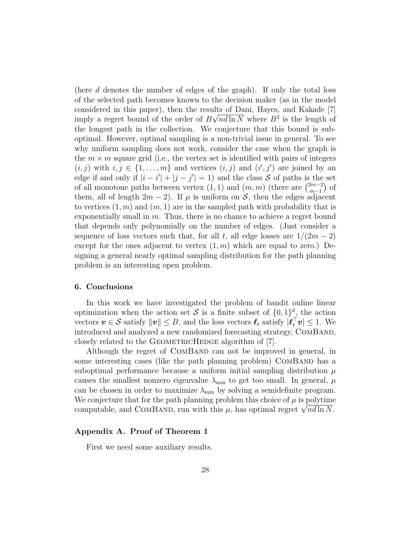(here d denotes the number of edges of the graph). If only the total loss of the selected path becomes known to the decision maker (as in the model considered in this paper), then the results of Dani, Hayes, and Kakade [7] imply a regret bound of the order of  $B\sqrt{n d \ln N}$  where  $B^2$  is the length of the longest path in the collection. We conjecture that this bound is suboptimal. However, optimal sampling is a non-trivial issue in general. To see why uniform sampling does not work, consider the case when the graph is the  $m \times m$  square grid (i.e., the vertex set is identified with pairs of integers  $(i, j)$  with  $i, j \in \{1, \ldots, m\}$  and vertices  $(i, j)$  and  $(i', j')$  are joined by an edge if and only if  $|i - i'| + |j - j'| = 1$  and the class S of paths is the set of all monotone paths between vertex  $(1,1)$  and  $(m,m)$  (there are  $\binom{2m-2}{m-1}$  $_{m-1}^{2m-2}$ ) of them, all of length  $2m - 2$ ). If  $\mu$  is uniform on S, then the edges adjacent to vertices  $(1, m)$  and  $(m, 1)$  are in the sampled path with probability that is exponentially small in  $m$ . Thus, there is no chance to achieve a regret bound that depends only polynomially on the number of edges. (Just consider a sequence of loss vectors such that, for all t, all edge losses are  $1/(2m-2)$ except for the ones adjacent to vertex  $(1, m)$  which are equal to zero.) Designing a general nearly optimal sampling distribution for the path planning problem is an interesting open problem.

# 6. Conclusions

In this work we have investigated the problem of bandit online linear optimization when the action set S is a finite subset of  $\{0,1\}^d$ , the action vectors  $\boldsymbol{v} \in \mathcal{S}$  satisfy  $\|\boldsymbol{v}\| \leq B$ , and the loss vectors  $\boldsymbol{\ell}_t$  satisfy  $|\boldsymbol{\ell}_t^{\top} \boldsymbol{v}| \leq 1$ . We introduced and analyzed a new randomized forecasting strategy, ComBand, closely related to the GEOMETRICHEDGE algorithm of [7].

Although the regret of COMBAND can not be improved in general, in some interesting cases (like the path planning problem) COMBAND has a suboptimal performance because a uniform initial sampling distribution  $\mu$ causes the smallest nonzero eigenvalue  $\lambda_{\min}$  to get too small. In general,  $\mu$ can be chosen in order to maximize  $\lambda_{\min}$  by solving a semidefinite program. We conjecture that for the path planning problem this choice of  $\mu$  is polytime We conjecture that for the path planning problem this choice of  $\mu$  is polytime<br>computable, and COMBAND, run with this  $\mu$ , has optimal regret  $\sqrt{nd}\ln N$ .

# Appendix A. Proof of Theorem 1

First we need some auxiliary results.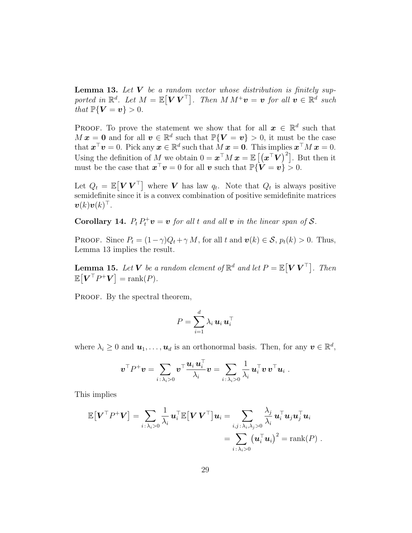**Lemma 13.** Let  $V$  be a random vector whose distribution is finitely supported in  $\mathbb{R}^d$ . Let  $M = \mathbb{E}[\boldsymbol{V} \boldsymbol{V}^\top]$ . Then  $M M^+ \boldsymbol{v} = \boldsymbol{v}$  for all  $\boldsymbol{v} \in \mathbb{R}^d$  such that  $\mathbb{P}{\bf V}={\bf v}\}>0.$ 

PROOF. To prove the statement we show that for all  $\boldsymbol{x} \in \mathbb{R}^d$  such that  $M\boldsymbol{x} = \boldsymbol{0}$  and for all  $\boldsymbol{v} \in \mathbb{R}^d$  such that  $\mathbb{P}\{V = \boldsymbol{v}\} > 0$ , it must be the case that  $\boldsymbol{x}^\top \boldsymbol{v} = 0$ . Pick any  $\boldsymbol{x} \in \mathbb{R}^d$  such that  $M \boldsymbol{x} = \boldsymbol{0}$ . This implies  $\boldsymbol{x}^\top M \boldsymbol{x} = 0$ . Using the definition of M we obtain  $0 = \boldsymbol{x}^{\top} M \, \boldsymbol{x} = \mathbb{E} \left[ \left( \boldsymbol{x}^{\top} \boldsymbol{V} \right)^2 \right]$ . But then it must be the case that  $\mathbf{x}^{\top} \mathbf{v} = 0$  for all  $\mathbf{v}$  such that  $\mathbb{P}\{\dot{\mathbf{V}} = \mathbf{v}\} > 0$ .

Let  $Q_t = \mathbb{E}[V V^\top]$  where V has law  $q_t$ . Note that  $Q_t$  is always positive semidefinite since it is a convex combination of positive semidefinite matrices  $\boldsymbol{v}(k)\boldsymbol{v}(k)^\top.$ 

**Corollary 14.**  $P_t P_t^+ \mathbf{v} = \mathbf{v}$  for all t and all  $\mathbf{v}$  in the linear span of  $\mathcal{S}$ .

PROOF. Since  $P_t = (1 - \gamma)Q_t + \gamma M$ , for all t and  $\mathbf{v}(k) \in \mathcal{S}$ ,  $p_t(k) > 0$ . Thus, Lemma 13 implies the result.

**Lemma 15.** Let V be a random element of  $\mathbb{R}^d$  and let  $P = \mathbb{E}[V V^\top]$ . Then  $\mathbb{E}[\mathbf{V}^\top P^+ \mathbf{V}] = \text{rank}(P).$ 

PROOF. By the spectral theorem,

$$
P = \sum_{i=1}^d \lambda_i \, \boldsymbol{u}_i \, \boldsymbol{u}_i^\top
$$

where  $\lambda_i \geq 0$  and  $\boldsymbol{u}_1, \ldots, \boldsymbol{u}_d$  is an orthonormal basis. Then, for any  $\boldsymbol{v} \in \mathbb{R}^d$ ,

$$
\boldsymbol{v}^\top P^+\boldsymbol{v} = \sum_{i\,:\,\lambda_i>0}\boldsymbol{v}^\top\frac{\boldsymbol{u}_i\,\boldsymbol{u}_i^\top}{\lambda_i}\boldsymbol{v} = \sum_{i\,:\,\lambda_i>0}\frac{1}{\lambda_i}\,\boldsymbol{u}_i^\top\boldsymbol{v}\,\boldsymbol{v}^\top\boldsymbol{u}_i~.
$$

This implies

$$
\mathbb{E}\big[\boldsymbol{V}^\top P^+ \boldsymbol{V}\big] = \sum_{i:\,\lambda_i>0} \frac{1}{\lambda_i} \boldsymbol{u}_i^\top \mathbb{E}\big[\boldsymbol{V} \, \boldsymbol{V}^\top\big] \boldsymbol{u}_i = \sum_{i,j:\,\lambda_i,\lambda_j>0} \frac{\lambda_j}{\lambda_i} \boldsymbol{u}_i^\top \boldsymbol{u}_j \boldsymbol{u}_j^\top \boldsymbol{u}_i
$$
\n
$$
= \sum_{i:\,\lambda_i>0} \bigl(\boldsymbol{u}_i^\top \boldsymbol{u}_i\bigr)^2 = \text{rank}(P) \ .
$$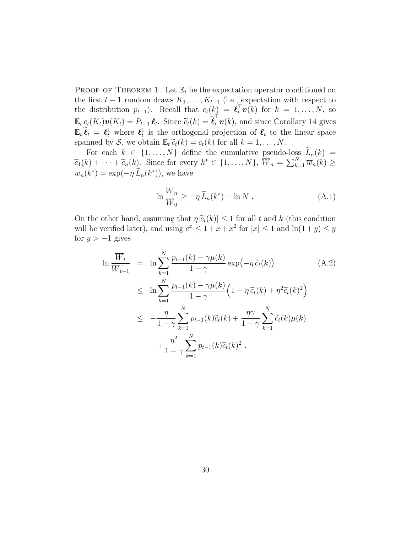**PROOF OF THEOREM 1.** Let  $\mathbb{E}_t$  be the expectation operator conditioned on the first  $t-1$  random draws  $K_1, \ldots, K_{t-1}$  (i.e., expectation with respect to the distribution  $p_{t-1}$ ). Recall that  $c_t(k) = \boldsymbol{\ell}_t^{\top} \boldsymbol{v}(k)$  for  $k = 1, \ldots, N$ , so  $\mathbb{E}_t c_t(K_t) \mathbf{v}(K_t) = P_{t-1} \boldsymbol{\ell}_t$ . Since  $\widetilde{c}_t(k) = \widetilde{\boldsymbol{\ell}}_t^\top \mathbf{v}(k)$ , and since Corollary 14 gives  $\mathbb{E}_t \widetilde{\boldsymbol{\ell}}_t = \boldsymbol{\ell}_t^1$  where  $\boldsymbol{\ell}_t^1$  $t_t$  is the orthogonal projection of  $\ell_t$  to the linear space spanned by S, we obtain  $\mathbb{E}_t \widetilde{c}_t(k) = c_t(k)$  for all  $k = 1, \ldots, N$ .

For each  $k \in \{1, ..., N\}$  define the cumulative pseudo-loss  $L_n(k) =$  $\widetilde{c}_1(k) + \cdots + \widetilde{c}_n(k)$ . Since for every  $k^* \in \{1, \ldots, N\}$ ,  $\overline{W}_n = \sum_{k=1}^N \overline{w}_n(k) \ge$  $\overline{w}_n(k^*) = \exp(-\eta \widetilde{L}_n(k^*)),$  we have

$$
\ln \frac{\overline{W}_n}{\overline{W}_0} \ge -\eta \widetilde{L}_n(k^*) - \ln N . \tag{A.1}
$$

On the other hand, assuming that  $\eta | \tilde{c}_t(k)| \leq 1$  for all t and k (this condition will be verified later), and using  $e^x \leq 1 + x + x^2$  for  $|x| \leq 1$  and  $\ln(1+y) \leq y$ for  $y > -1$  gives

$$
\ln \frac{\overline{W}_t}{\overline{W}_{t-1}} = \ln \sum_{k=1}^N \frac{p_{t-1}(k) - \gamma \mu(k)}{1 - \gamma} \exp\left(-\eta \widetilde{c}_t(k)\right)
$$
\n
$$
\leq \ln \sum_{k=1}^N \frac{p_{t-1}(k) - \gamma \mu(k)}{1 - \gamma} \left(1 - \eta \widetilde{c}_t(k) + \eta^2 \widetilde{c}_t(k)^2\right)
$$
\n
$$
\leq -\frac{\eta}{1 - \gamma} \sum_{k=1}^N p_{t-1}(k) \widetilde{c}_t(k) + \frac{\eta \gamma}{1 - \gamma} \sum_{k=1}^N \widetilde{c}_t(k) \mu(k)
$$
\n
$$
+ \frac{\eta^2}{1 - \gamma} \sum_{k=1}^N p_{t-1}(k) \widetilde{c}_t(k)^2.
$$
\n(A.2)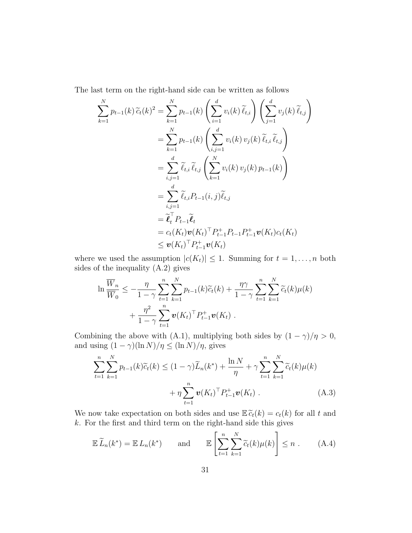The last term on the right-hand side can be written as follows

$$
\sum_{k=1}^{N} p_{t-1}(k) \widetilde{c}_{t}(k)^{2} = \sum_{k=1}^{N} p_{t-1}(k) \left( \sum_{i=1}^{d} v_{i}(k) \widetilde{\ell}_{t,i} \right) \left( \sum_{j=1}^{d} v_{j}(k) \widetilde{\ell}_{t,j} \right)
$$
  
\n
$$
= \sum_{k=1}^{N} p_{t-1}(k) \left( \sum_{i,j=1}^{d} v_{i}(k) v_{j}(k) \widetilde{\ell}_{t,i} \widetilde{\ell}_{t,j} \right)
$$
  
\n
$$
= \sum_{i,j=1}^{d} \widetilde{\ell}_{t,i} \widetilde{\ell}_{t,j} \left( \sum_{k=1}^{N} v_{i}(k) v_{j}(k) p_{t-1}(k) \right)
$$
  
\n
$$
= \sum_{i,j=1}^{d} \widetilde{\ell}_{t,i} P_{t-1}(i,j) \widetilde{\ell}_{t,j}
$$
  
\n
$$
= \widetilde{\ell}_{t}^{\top} P_{t-1} \widetilde{\ell}_{t}
$$
  
\n
$$
= c_{t}(K_{t}) \mathbf{v}(K_{t})^{\top} P_{t-1}^{+} P_{t-1} P_{t-1} \mathbf{v}(K_{t}) c_{t}(K_{t})
$$
  
\n
$$
\leq \mathbf{v}(K_{t})^{\top} P_{t-1}^{+} \mathbf{v}(K_{t})
$$

where we used the assumption  $|c(K_t)| \leq 1$ . Summing for  $t = 1, \ldots, n$  both sides of the inequality (A.2) gives

$$
\ln \frac{\overline{W}_n}{\overline{W}_0} \leq -\frac{\eta}{1-\gamma} \sum_{t=1}^n \sum_{k=1}^N p_{t-1}(k)\widetilde{c}_t(k) + \frac{\eta \gamma}{1-\gamma} \sum_{t=1}^n \sum_{k=1}^N \widetilde{c}_t(k)\mu(k) + \frac{\eta^2}{1-\gamma} \sum_{t=1}^n \mathbf{v}(K_t)^\top P_{t-1}^+ \mathbf{v}(K_t) .
$$

Combining the above with (A.1), multiplying both sides by  $(1 - \gamma)/\eta > 0$ , and using  $(1 - \gamma)(\ln N)/\eta \le (\ln N)/\eta$ , gives

$$
\sum_{t=1}^{n} \sum_{k=1}^{N} p_{t-1}(k)\widetilde{c}_{t}(k) \le (1 - \gamma)\widetilde{L}_{n}(k^{*}) + \frac{\ln N}{\eta} + \gamma \sum_{t=1}^{n} \sum_{k=1}^{N} \widetilde{c}_{t}(k)\mu(k) + \eta \sum_{t=1}^{n} \mathbf{v}(K_{t})^{\top} P_{t-1}^{+} \mathbf{v}(K_{t}).
$$
\n(A.3)

We now take expectation on both sides and use  $\mathbb{E}\,\widetilde{c}_t(k) = c_t(k)$  for all t and  $k$ . For the first and third term on the right-hand side this gives

$$
\mathbb{E}\widetilde{L}_n(k^*) = \mathbb{E}L_n(k^*) \quad \text{and} \quad \mathbb{E}\left[\sum_{t=1}^n \sum_{k=1}^N \widetilde{c}_t(k)\mu(k)\right] \le n \ . \tag{A.4}
$$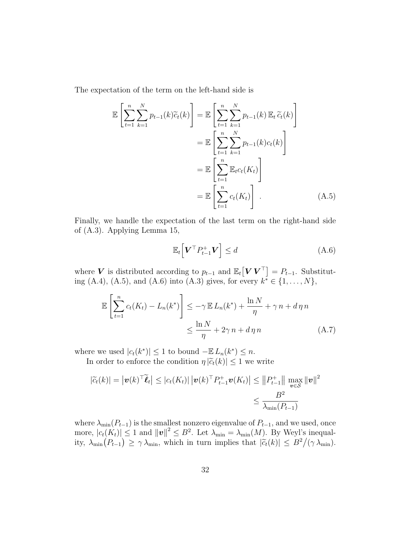The expectation of the term on the left-hand side is

$$
\mathbb{E}\left[\sum_{t=1}^{n}\sum_{k=1}^{N}p_{t-1}(k)\widetilde{c}_{t}(k)\right] = \mathbb{E}\left[\sum_{t=1}^{n}\sum_{k=1}^{N}p_{t-1}(k)\mathbb{E}_{t}\widetilde{c}_{t}(k)\right]
$$

$$
= \mathbb{E}\left[\sum_{t=1}^{n}\sum_{k=1}^{N}p_{t-1}(k)c_{t}(k)\right]
$$

$$
= \mathbb{E}\left[\sum_{t=1}^{n}\mathbb{E}_{t}c_{t}(K_{t})\right]
$$

$$
= \mathbb{E}\left[\sum_{t=1}^{n}c_{t}(K_{t})\right].
$$
(A.5)

Finally, we handle the expectation of the last term on the right-hand side of (A.3). Applying Lemma 15,

$$
\mathbb{E}_t\left[\boldsymbol{V}^\top P_{t-1}^+ \boldsymbol{V}\right] \le d \tag{A.6}
$$

where V is distributed according to  $p_{t-1}$  and  $\mathbb{E}_t\left[ \boldsymbol{V} \boldsymbol{V}^\top \right] = P_{t-1}$ . Substituting (A.4), (A.5), and (A.6) into (A.3) gives, for every  $k^* \in \{1, ..., N\}$ ,

$$
\mathbb{E}\left[\sum_{t=1}^{n} c_t(K_t) - L_n(k^*)\right] \le -\gamma \mathbb{E} L_n(k^*) + \frac{\ln N}{\eta} + \gamma n + d\eta n
$$
  

$$
\le \frac{\ln N}{\eta} + 2\gamma n + d\eta n
$$
 (A.7)

where we used  $|c_t(k^*)| \leq 1$  to bound  $-\mathbb{E} L_n(k^*) \leq n$ .

In order to enforce the condition  $\eta |\tilde{c}_t(k)| \leq 1$  we write

$$
|\widetilde{c}_t(k)| = |\mathbf{v}(k)^\top \widetilde{\boldsymbol{\ell}}_t| \leq |c_t(K_t)| |\mathbf{v}(k)^\top P_{t-1}^+ \mathbf{v}(K_t)| \leq ||P_{t-1}^+|| \max_{\mathbf{v} \in \mathcal{S}} ||\mathbf{v}||^2
$$
  

$$
\leq \frac{B^2}{\lambda_{\min}(P_{t-1})}
$$

where  $\lambda_{\min}(P_{t-1})$  is the smallest nonzero eigenvalue of  $P_{t-1}$ , and we used, once more,  $|c_t(K_t)| \leq 1$  and  $||\boldsymbol{v}||^2 \leq B^2$ . Let  $\lambda_{\min} = \lambda_{\min}(M)$ . By Weyl's inequality,  $\lambda_{\min}(P_{t-1}) \geq \gamma \lambda_{\min}$ , which in turn implies that  $|\tilde{c}_t(k)| \leq B^2/(\gamma \lambda_{\min})$ .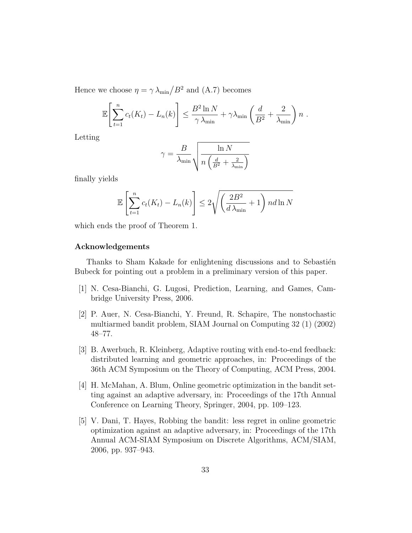Hence we choose  $\eta = \gamma \lambda_{\min}/B^2$  and (A.7) becomes

$$
\mathbb{E}\left[\sum_{t=1}^n c_t(K_t) - L_n(k)\right] \leq \frac{B^2 \ln N}{\gamma \lambda_{\min}} + \gamma \lambda_{\min} \left(\frac{d}{B^2} + \frac{2}{\lambda_{\min}}\right) n.
$$

Letting

$$
\gamma = \frac{B}{\lambda_{\min}} \sqrt{\frac{\ln N}{n \left(\frac{d}{B^2} + \frac{2}{\lambda_{\min}}\right)}}
$$

finally yields

$$
\mathbb{E}\left[\sum_{t=1}^{n} c_t(K_t) - L_n(k)\right] \le 2\sqrt{\left(\frac{2B^2}{d\lambda_{\min}} + 1\right) n d \ln N}
$$

which ends the proof of Theorem 1.

## Acknowledgements

Thanks to Sham Kakade for enlightening discussions and to Sebastién Bubeck for pointing out a problem in a preliminary version of this paper.

- [1] N. Cesa-Bianchi, G. Lugosi, Prediction, Learning, and Games, Cambridge University Press, 2006.
- [2] P. Auer, N. Cesa-Bianchi, Y. Freund, R. Schapire, The nonstochastic multiarmed bandit problem, SIAM Journal on Computing 32 (1) (2002) 48–77.
- [3] B. Awerbuch, R. Kleinberg, Adaptive routing with end-to-end feedback: distributed learning and geometric approaches, in: Proceedings of the 36th ACM Symposium on the Theory of Computing, ACM Press, 2004.
- [4] H. McMahan, A. Blum, Online geometric optimization in the bandit setting against an adaptive adversary, in: Proceedings of the 17th Annual Conference on Learning Theory, Springer, 2004, pp. 109–123.
- [5] V. Dani, T. Hayes, Robbing the bandit: less regret in online geometric optimization against an adaptive adversary, in: Proceedings of the 17th Annual ACM-SIAM Symposium on Discrete Algorithms, ACM/SIAM, 2006, pp. 937–943.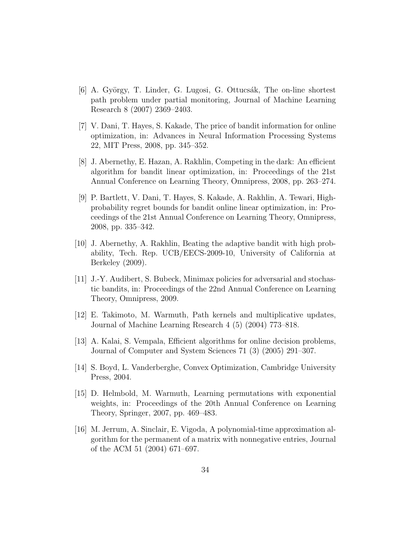- [6] A. György, T. Linder, G. Lugosi, G. Ottucsák, The on-line shortest path problem under partial monitoring, Journal of Machine Learning Research 8 (2007) 2369–2403.
- [7] V. Dani, T. Hayes, S. Kakade, The price of bandit information for online optimization, in: Advances in Neural Information Processing Systems 22, MIT Press, 2008, pp. 345–352.
- [8] J. Abernethy, E. Hazan, A. Rakhlin, Competing in the dark: An efficient algorithm for bandit linear optimization, in: Proceedings of the 21st Annual Conference on Learning Theory, Omnipress, 2008, pp. 263–274.
- [9] P. Bartlett, V. Dani, T. Hayes, S. Kakade, A. Rakhlin, A. Tewari, Highprobability regret bounds for bandit online linear optimization, in: Proceedings of the 21st Annual Conference on Learning Theory, Omnipress, 2008, pp. 335–342.
- [10] J. Abernethy, A. Rakhlin, Beating the adaptive bandit with high probability, Tech. Rep. UCB/EECS-2009-10, University of California at Berkeley (2009).
- [11] J.-Y. Audibert, S. Bubeck, Minimax policies for adversarial and stochastic bandits, in: Proceedings of the 22nd Annual Conference on Learning Theory, Omnipress, 2009.
- [12] E. Takimoto, M. Warmuth, Path kernels and multiplicative updates, Journal of Machine Learning Research 4 (5) (2004) 773–818.
- [13] A. Kalai, S. Vempala, Efficient algorithms for online decision problems, Journal of Computer and System Sciences 71 (3) (2005) 291–307.
- [14] S. Boyd, L. Vanderberghe, Convex Optimization, Cambridge University Press, 2004.
- [15] D. Helmbold, M. Warmuth, Learning permutations with exponential weights, in: Proceedings of the 20th Annual Conference on Learning Theory, Springer, 2007, pp. 469–483.
- [16] M. Jerrum, A. Sinclair, E. Vigoda, A polynomial-time approximation algorithm for the permanent of a matrix with nonnegative entries, Journal of the ACM 51 (2004) 671–697.